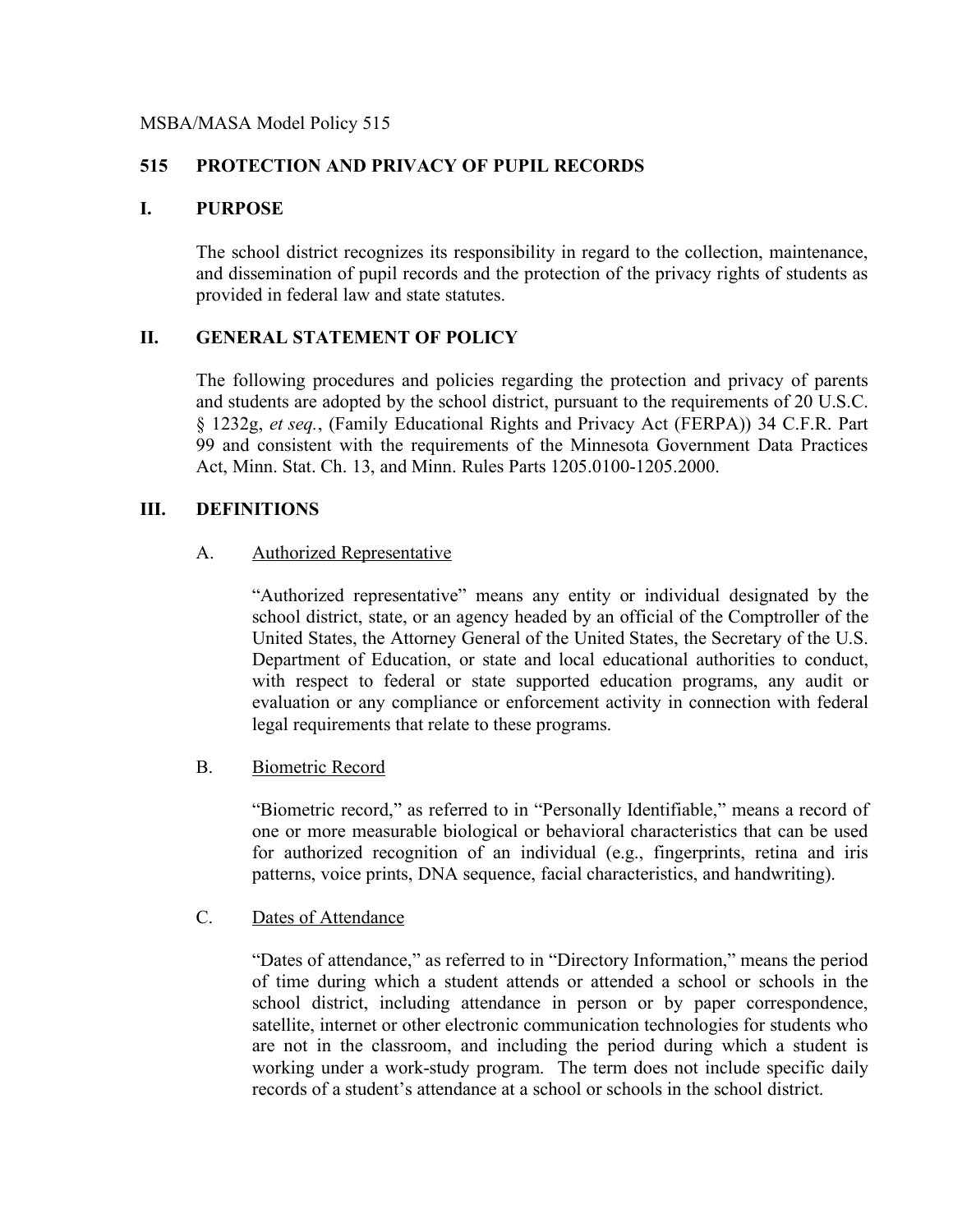#### MSBA/MASA Model Policy 515

### **515 PROTECTION AND PRIVACY OF PUPIL RECORDS**

#### **I. PURPOSE**

The school district recognizes its responsibility in regard to the collection, maintenance, and dissemination of pupil records and the protection of the privacy rights of students as provided in federal law and state statutes.

### **II. GENERAL STATEMENT OF POLICY**

The following procedures and policies regarding the protection and privacy of parents and students are adopted by the school district, pursuant to the requirements of 20 U.S.C. § 1232g, *et seq.*, (Family Educational Rights and Privacy Act (FERPA)) 34 C.F.R. Part 99 and consistent with the requirements of the Minnesota Government Data Practices Act, Minn. Stat. Ch. 13, and Minn. Rules Parts 1205.0100-1205.2000.

### **III. DEFINITIONS**

#### A. Authorized Representative

"Authorized representative" means any entity or individual designated by the school district, state, or an agency headed by an official of the Comptroller of the United States, the Attorney General of the United States, the Secretary of the U.S. Department of Education, or state and local educational authorities to conduct, with respect to federal or state supported education programs, any audit or evaluation or any compliance or enforcement activity in connection with federal legal requirements that relate to these programs.

#### B. Biometric Record

"Biometric record," as referred to in "Personally Identifiable," means a record of one or more measurable biological or behavioral characteristics that can be used for authorized recognition of an individual (e.g., fingerprints, retina and iris patterns, voice prints, DNA sequence, facial characteristics, and handwriting).

#### C. Dates of Attendance

"Dates of attendance," as referred to in "Directory Information," means the period of time during which a student attends or attended a school or schools in the school district, including attendance in person or by paper correspondence, satellite, internet or other electronic communication technologies for students who are not in the classroom, and including the period during which a student is working under a work-study program. The term does not include specific daily records of a student's attendance at a school or schools in the school district.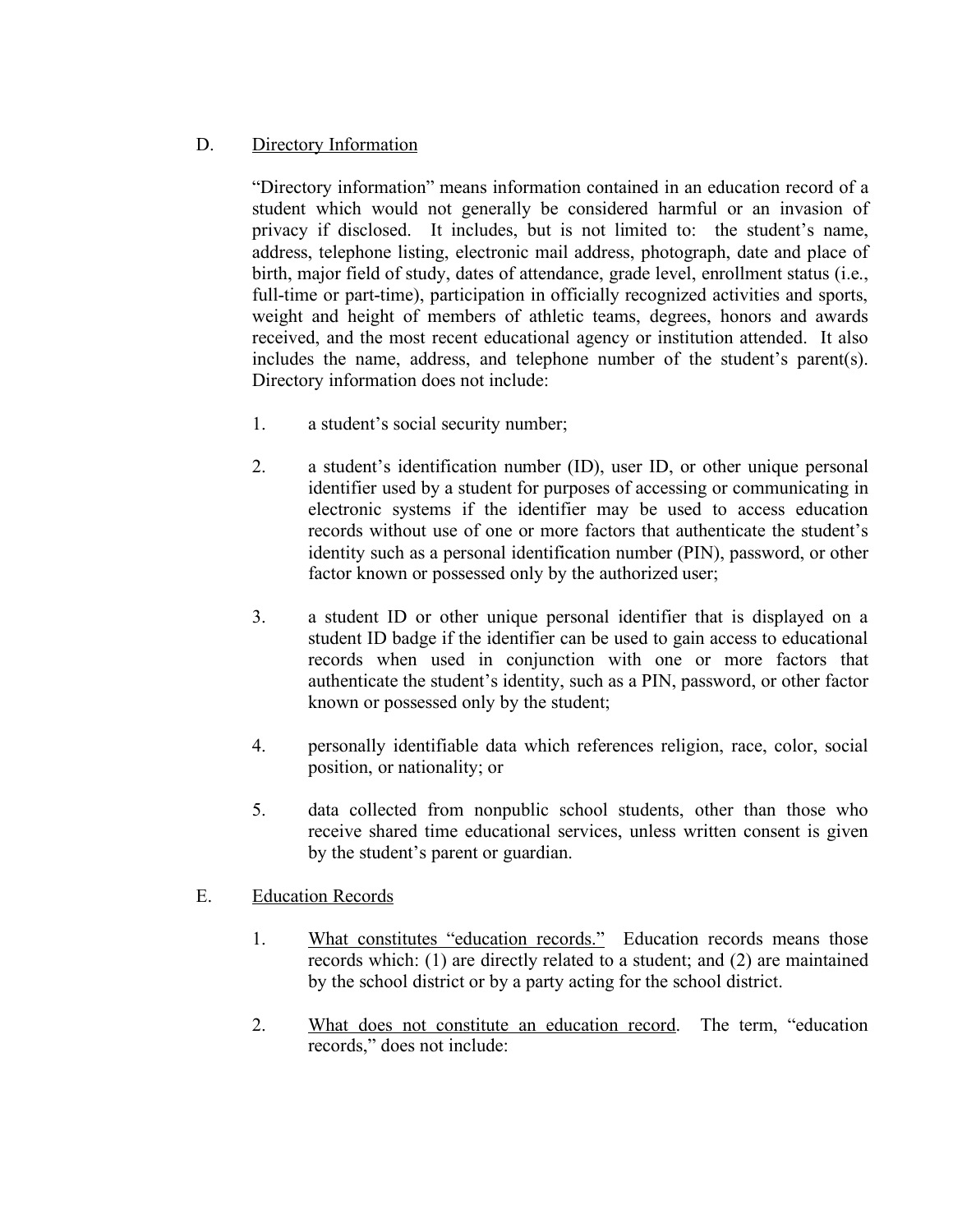## D. Directory Information

"Directory information" means information contained in an education record of a student which would not generally be considered harmful or an invasion of privacy if disclosed. It includes, but is not limited to: the student's name, address, telephone listing, electronic mail address, photograph, date and place of birth, major field of study, dates of attendance, grade level, enrollment status (i.e., full-time or part-time), participation in officially recognized activities and sports, weight and height of members of athletic teams, degrees, honors and awards received, and the most recent educational agency or institution attended. It also includes the name, address, and telephone number of the student's parent(s). Directory information does not include:

- 1. a student's social security number;
- 2. a student's identification number (ID), user ID, or other unique personal identifier used by a student for purposes of accessing or communicating in electronic systems if the identifier may be used to access education records without use of one or more factors that authenticate the student's identity such as a personal identification number (PIN), password, or other factor known or possessed only by the authorized user;
- 3. a student ID or other unique personal identifier that is displayed on a student ID badge if the identifier can be used to gain access to educational records when used in conjunction with one or more factors that authenticate the student's identity, such as a PIN, password, or other factor known or possessed only by the student;
- 4. personally identifiable data which references religion, race, color, social position, or nationality; or
- 5. data collected from nonpublic school students, other than those who receive shared time educational services, unless written consent is given by the student's parent or guardian.
- E. Education Records
	- 1. What constitutes "education records." Education records means those records which: (1) are directly related to a student; and (2) are maintained by the school district or by a party acting for the school district.
	- 2. What does not constitute an education record. The term, "education records," does not include: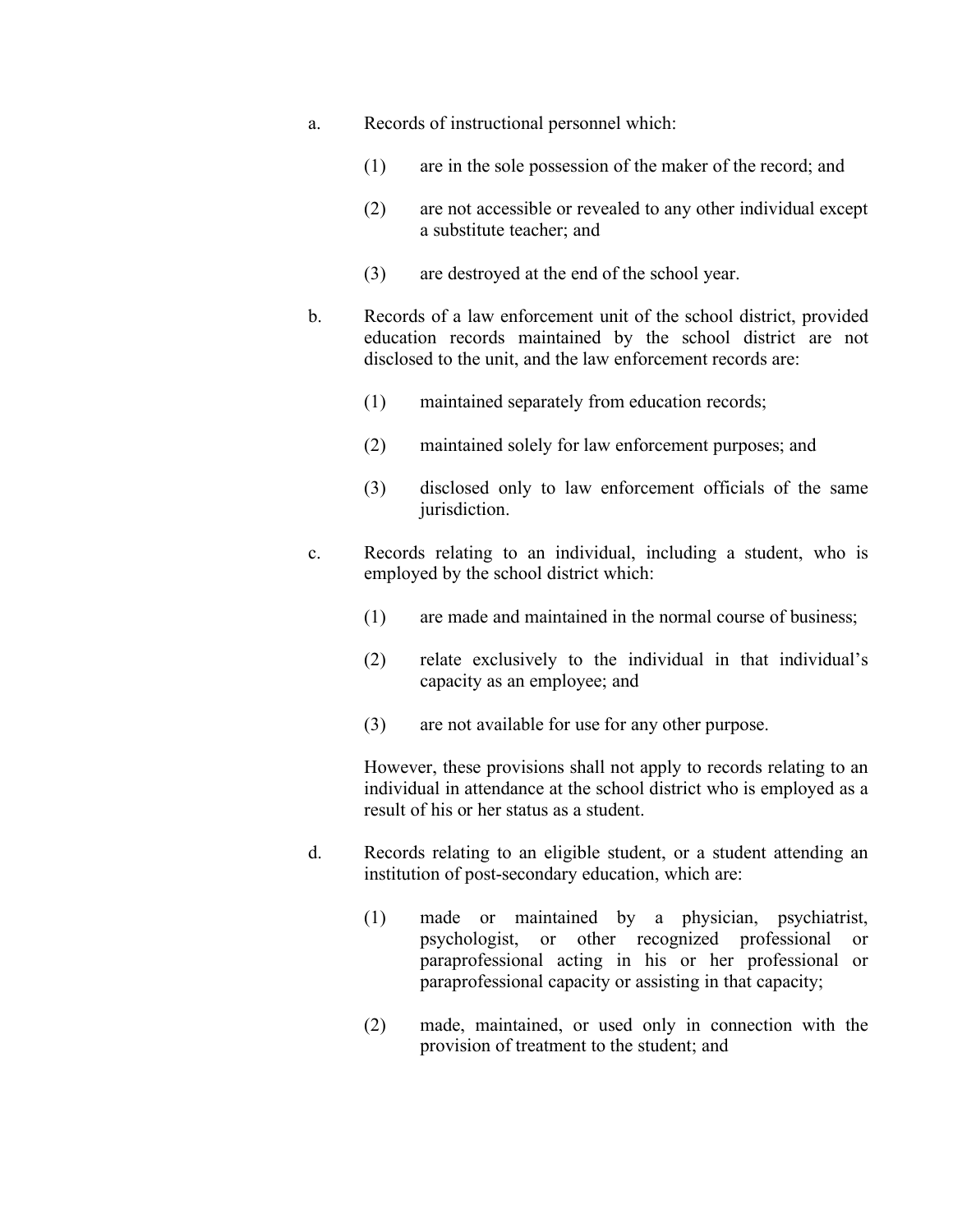- a. Records of instructional personnel which:
	- (1) are in the sole possession of the maker of the record; and
	- (2) are not accessible or revealed to any other individual except a substitute teacher; and
	- (3) are destroyed at the end of the school year.
- b. Records of a law enforcement unit of the school district, provided education records maintained by the school district are not disclosed to the unit, and the law enforcement records are:
	- (1) maintained separately from education records;
	- (2) maintained solely for law enforcement purposes; and
	- (3) disclosed only to law enforcement officials of the same jurisdiction.
- c. Records relating to an individual, including a student, who is employed by the school district which:
	- (1) are made and maintained in the normal course of business;
	- (2) relate exclusively to the individual in that individual's capacity as an employee; and
	- (3) are not available for use for any other purpose.

However, these provisions shall not apply to records relating to an individual in attendance at the school district who is employed as a result of his or her status as a student.

- d. Records relating to an eligible student, or a student attending an institution of post-secondary education, which are:
	- (1) made or maintained by a physician, psychiatrist, psychologist, or other recognized professional or paraprofessional acting in his or her professional or paraprofessional capacity or assisting in that capacity;
	- (2) made, maintained, or used only in connection with the provision of treatment to the student; and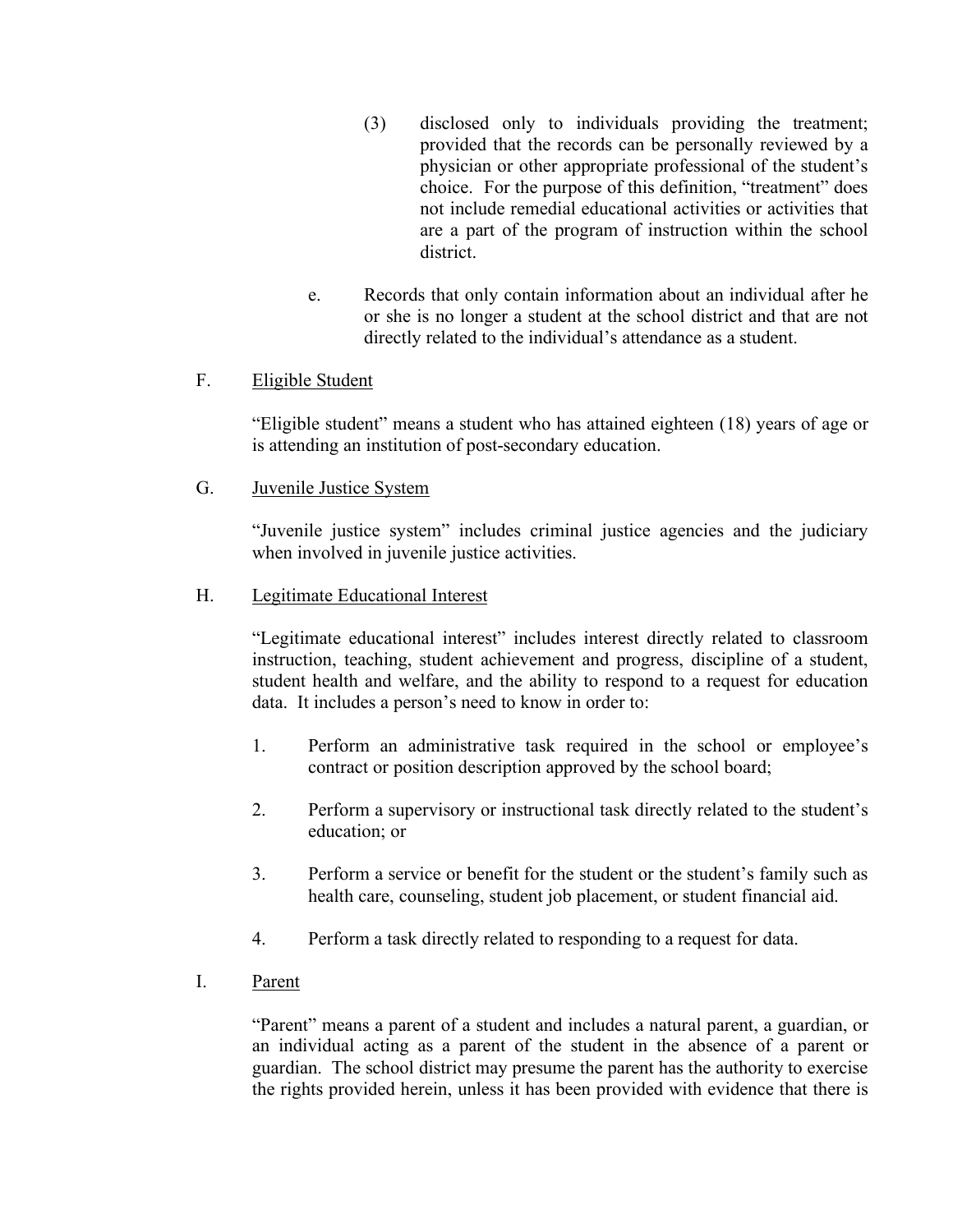- (3) disclosed only to individuals providing the treatment; provided that the records can be personally reviewed by a physician or other appropriate professional of the student's choice. For the purpose of this definition, "treatment" does not include remedial educational activities or activities that are a part of the program of instruction within the school district.
- e. Records that only contain information about an individual after he or she is no longer a student at the school district and that are not directly related to the individual's attendance as a student.

## F. Eligible Student

"Eligible student" means a student who has attained eighteen (18) years of age or is attending an institution of post-secondary education.

G. Juvenile Justice System

"Juvenile justice system" includes criminal justice agencies and the judiciary when involved in juvenile justice activities.

### H. Legitimate Educational Interest

"Legitimate educational interest" includes interest directly related to classroom instruction, teaching, student achievement and progress, discipline of a student, student health and welfare, and the ability to respond to a request for education data. It includes a person's need to know in order to:

- 1. Perform an administrative task required in the school or employee's contract or position description approved by the school board;
- 2. Perform a supervisory or instructional task directly related to the student's education; or
- 3. Perform a service or benefit for the student or the student's family such as health care, counseling, student job placement, or student financial aid.
- 4. Perform a task directly related to responding to a request for data.
- I. Parent

"Parent" means a parent of a student and includes a natural parent, a guardian, or an individual acting as a parent of the student in the absence of a parent or guardian. The school district may presume the parent has the authority to exercise the rights provided herein, unless it has been provided with evidence that there is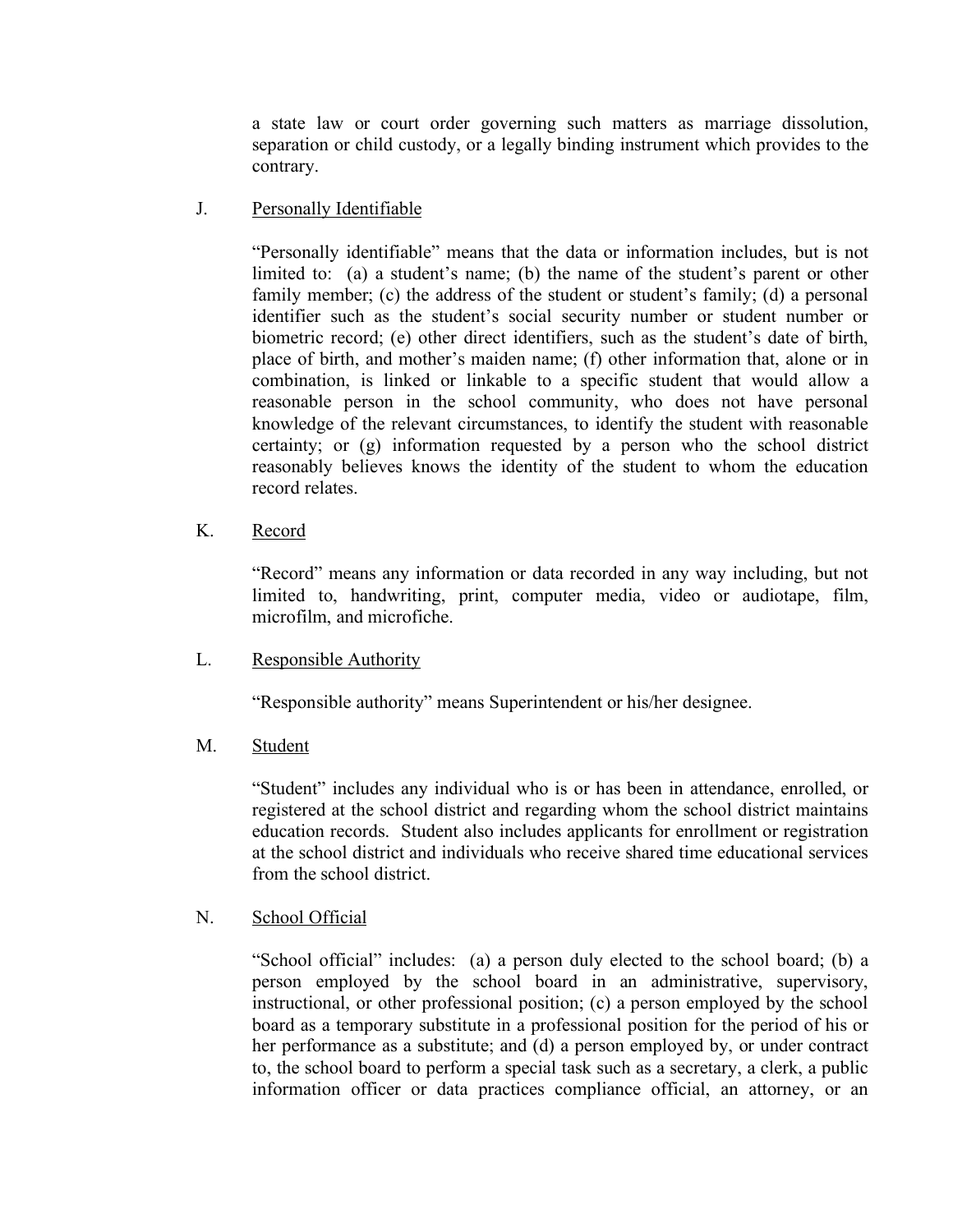a state law or court order governing such matters as marriage dissolution, separation or child custody, or a legally binding instrument which provides to the contrary.

J. Personally Identifiable

"Personally identifiable" means that the data or information includes, but is not limited to: (a) a student's name; (b) the name of the student's parent or other family member; (c) the address of the student or student's family; (d) a personal identifier such as the student's social security number or student number or biometric record; (e) other direct identifiers, such as the student's date of birth, place of birth, and mother's maiden name; (f) other information that, alone or in combination, is linked or linkable to a specific student that would allow a reasonable person in the school community, who does not have personal knowledge of the relevant circumstances, to identify the student with reasonable certainty; or (g) information requested by a person who the school district reasonably believes knows the identity of the student to whom the education record relates.

K. Record

"Record" means any information or data recorded in any way including, but not limited to, handwriting, print, computer media, video or audiotape, film, microfilm, and microfiche.

L. Responsible Authority

"Responsible authority" means Superintendent or his/her designee.

M. Student

"Student" includes any individual who is or has been in attendance, enrolled, or registered at the school district and regarding whom the school district maintains education records. Student also includes applicants for enrollment or registration at the school district and individuals who receive shared time educational services from the school district.

## N. School Official

"School official" includes: (a) a person duly elected to the school board; (b) a person employed by the school board in an administrative, supervisory, instructional, or other professional position; (c) a person employed by the school board as a temporary substitute in a professional position for the period of his or her performance as a substitute; and (d) a person employed by, or under contract to, the school board to perform a special task such as a secretary, a clerk, a public information officer or data practices compliance official, an attorney, or an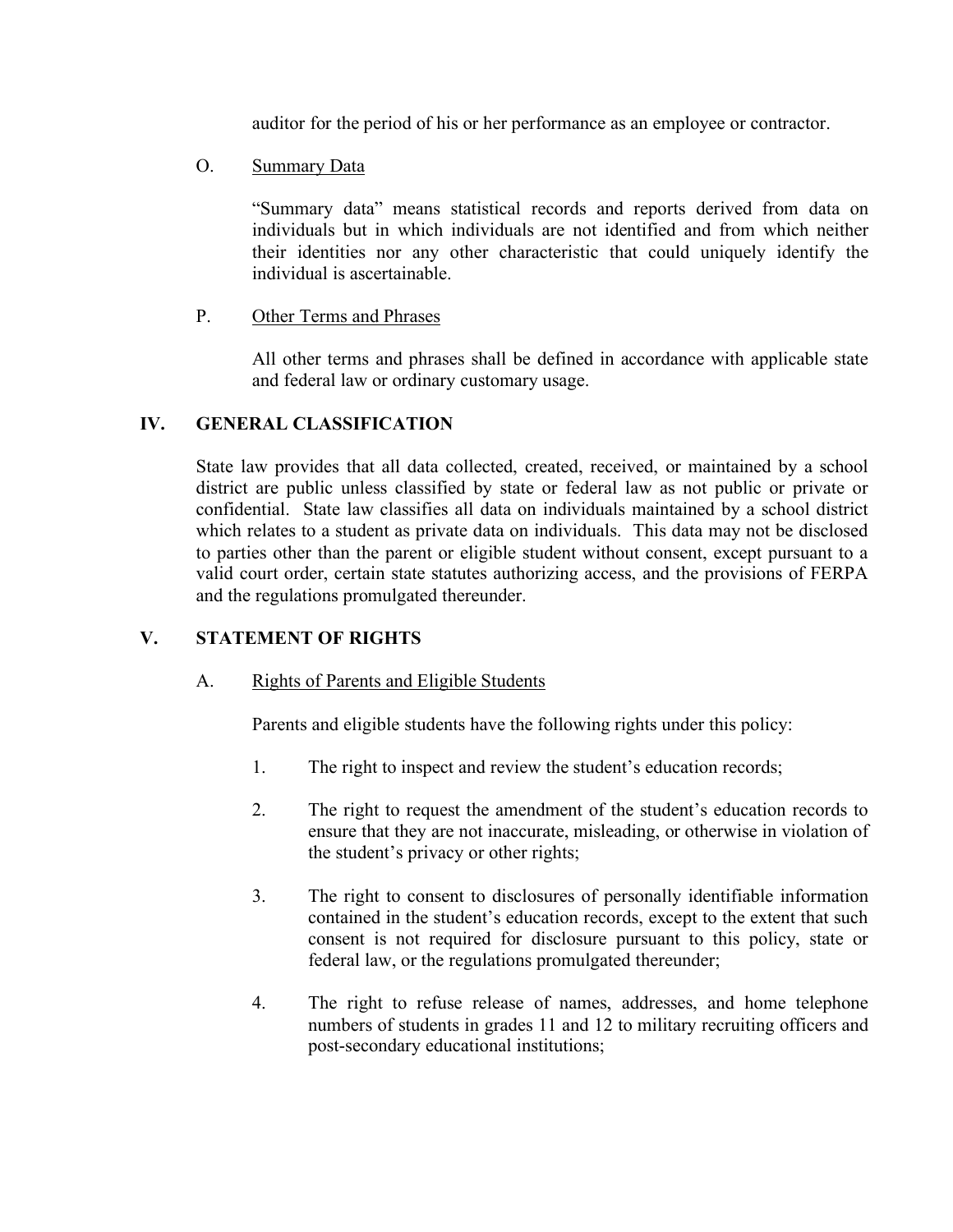auditor for the period of his or her performance as an employee or contractor.

O. Summary Data

"Summary data" means statistical records and reports derived from data on individuals but in which individuals are not identified and from which neither their identities nor any other characteristic that could uniquely identify the individual is ascertainable.

P. Other Terms and Phrases

All other terms and phrases shall be defined in accordance with applicable state and federal law or ordinary customary usage.

## **IV. GENERAL CLASSIFICATION**

State law provides that all data collected, created, received, or maintained by a school district are public unless classified by state or federal law as not public or private or confidential. State law classifies all data on individuals maintained by a school district which relates to a student as private data on individuals. This data may not be disclosed to parties other than the parent or eligible student without consent, except pursuant to a valid court order, certain state statutes authorizing access, and the provisions of FERPA and the regulations promulgated thereunder.

## **V. STATEMENT OF RIGHTS**

## A. Rights of Parents and Eligible Students

Parents and eligible students have the following rights under this policy:

- 1. The right to inspect and review the student's education records;
- 2. The right to request the amendment of the student's education records to ensure that they are not inaccurate, misleading, or otherwise in violation of the student's privacy or other rights;
- 3. The right to consent to disclosures of personally identifiable information contained in the student's education records, except to the extent that such consent is not required for disclosure pursuant to this policy, state or federal law, or the regulations promulgated thereunder;
- 4. The right to refuse release of names, addresses, and home telephone numbers of students in grades 11 and 12 to military recruiting officers and post-secondary educational institutions;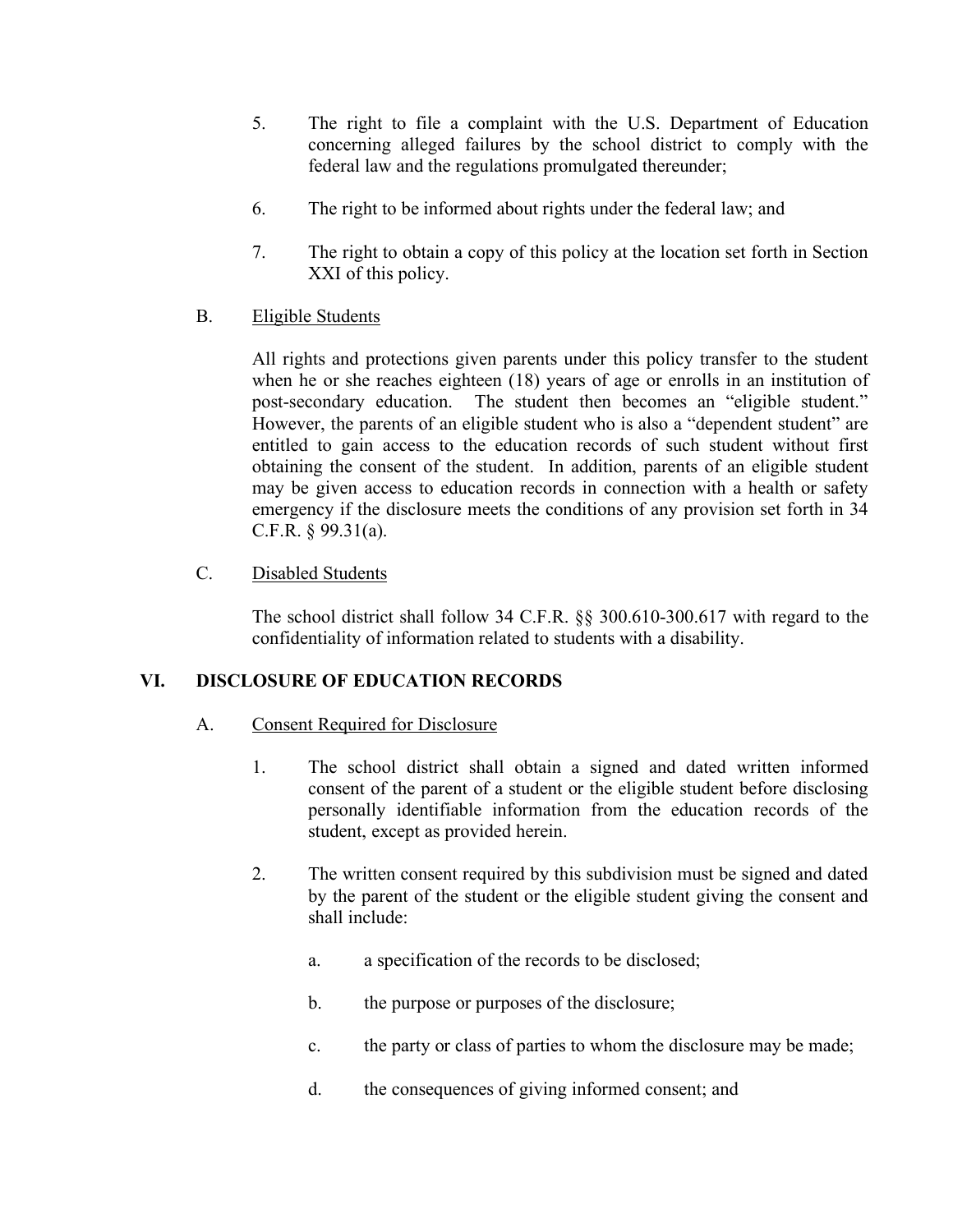- 5. The right to file a complaint with the U.S. Department of Education concerning alleged failures by the school district to comply with the federal law and the regulations promulgated thereunder;
- 6. The right to be informed about rights under the federal law; and
- 7. The right to obtain a copy of this policy at the location set forth in Section XXI of this policy.

## B. Eligible Students

All rights and protections given parents under this policy transfer to the student when he or she reaches eighteen (18) years of age or enrolls in an institution of post-secondary education. The student then becomes an "eligible student." However, the parents of an eligible student who is also a "dependent student" are entitled to gain access to the education records of such student without first obtaining the consent of the student. In addition, parents of an eligible student may be given access to education records in connection with a health or safety emergency if the disclosure meets the conditions of any provision set forth in 34 C.F.R. § 99.31(a).

## C. Disabled Students

The school district shall follow 34 C.F.R. §§ 300.610-300.617 with regard to the confidentiality of information related to students with a disability.

## **VI. DISCLOSURE OF EDUCATION RECORDS**

## A. Consent Required for Disclosure

- 1. The school district shall obtain a signed and dated written informed consent of the parent of a student or the eligible student before disclosing personally identifiable information from the education records of the student, except as provided herein.
- 2. The written consent required by this subdivision must be signed and dated by the parent of the student or the eligible student giving the consent and shall include:
	- a. a specification of the records to be disclosed;
	- b. the purpose or purposes of the disclosure;
	- c. the party or class of parties to whom the disclosure may be made;
	- d. the consequences of giving informed consent; and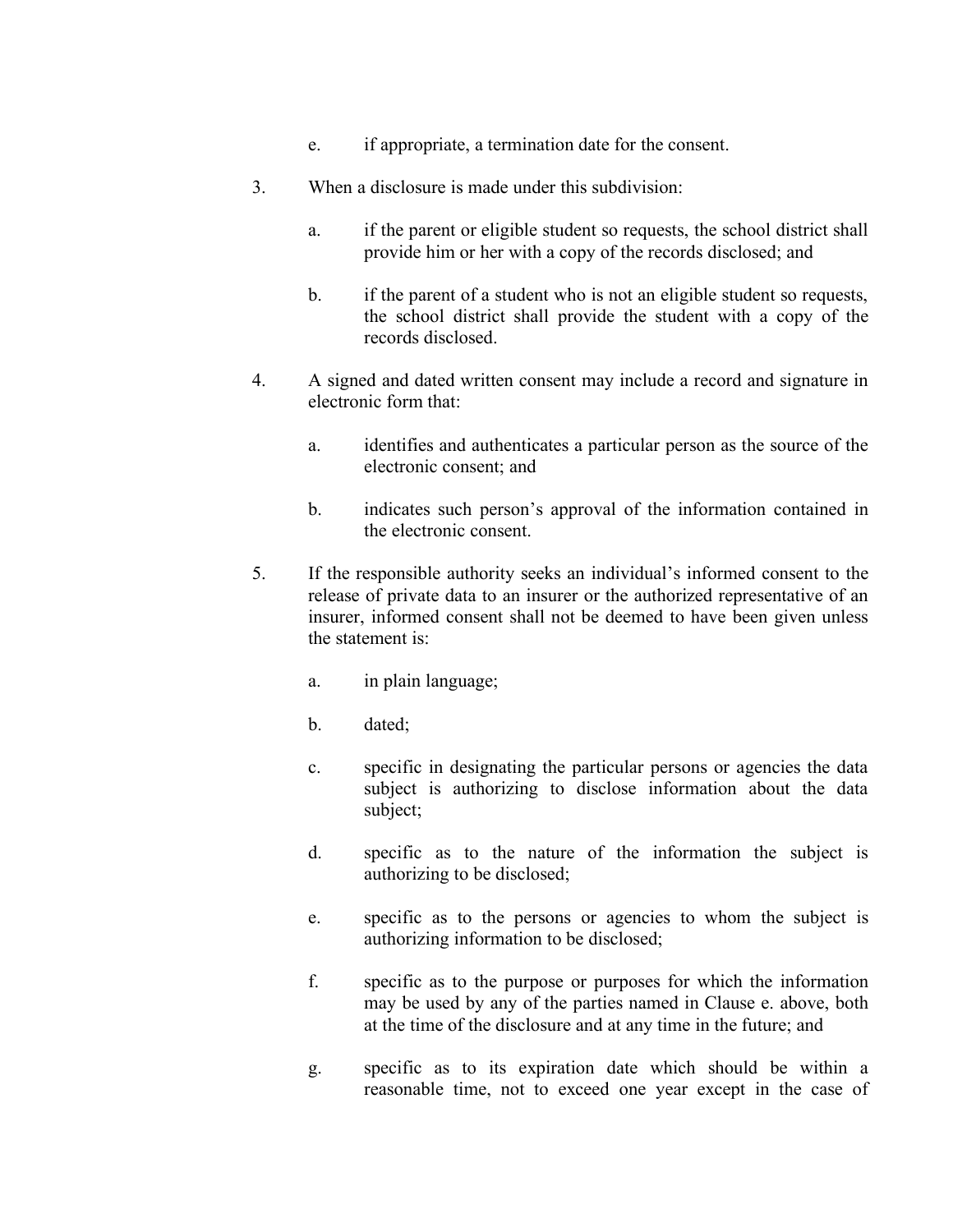- e. if appropriate, a termination date for the consent.
- 3. When a disclosure is made under this subdivision:
	- a. if the parent or eligible student so requests, the school district shall provide him or her with a copy of the records disclosed; and
	- b. if the parent of a student who is not an eligible student so requests, the school district shall provide the student with a copy of the records disclosed.
- 4. A signed and dated written consent may include a record and signature in electronic form that:
	- a. identifies and authenticates a particular person as the source of the electronic consent; and
	- b. indicates such person's approval of the information contained in the electronic consent.
- 5. If the responsible authority seeks an individual's informed consent to the release of private data to an insurer or the authorized representative of an insurer, informed consent shall not be deemed to have been given unless the statement is:
	- a. in plain language;
	- b. dated;
	- c. specific in designating the particular persons or agencies the data subject is authorizing to disclose information about the data subject;
	- d. specific as to the nature of the information the subject is authorizing to be disclosed;
	- e. specific as to the persons or agencies to whom the subject is authorizing information to be disclosed;
	- f. specific as to the purpose or purposes for which the information may be used by any of the parties named in Clause e. above, both at the time of the disclosure and at any time in the future; and
	- g. specific as to its expiration date which should be within a reasonable time, not to exceed one year except in the case of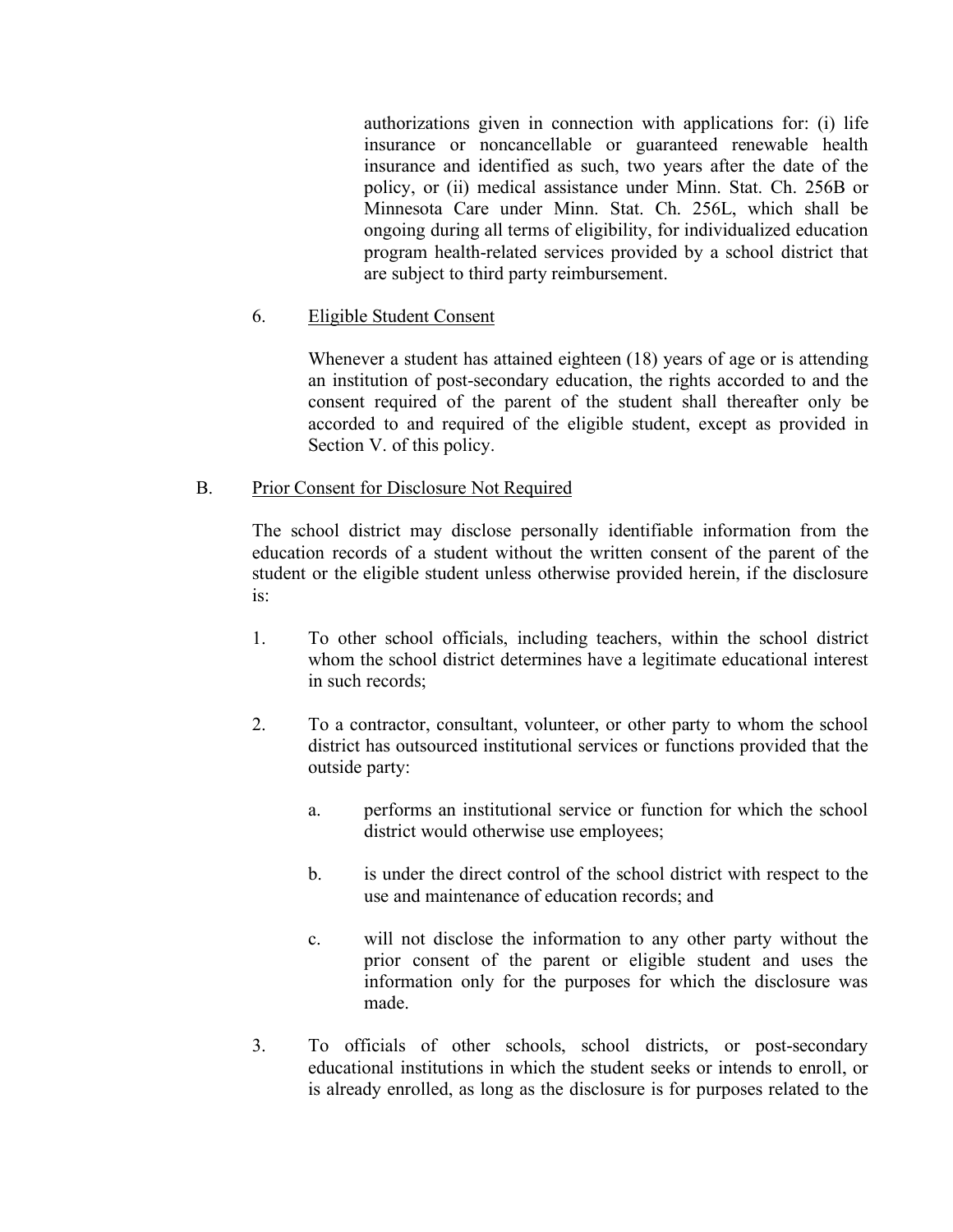authorizations given in connection with applications for: (i) life insurance or noncancellable or guaranteed renewable health insurance and identified as such, two years after the date of the policy, or (ii) medical assistance under Minn. Stat. Ch. 256B or Minnesota Care under Minn. Stat. Ch. 256L, which shall be ongoing during all terms of eligibility, for individualized education program health-related services provided by a school district that are subject to third party reimbursement.

## 6. Eligible Student Consent

Whenever a student has attained eighteen (18) years of age or is attending an institution of post-secondary education, the rights accorded to and the consent required of the parent of the student shall thereafter only be accorded to and required of the eligible student, except as provided in Section V. of this policy.

#### B. Prior Consent for Disclosure Not Required

The school district may disclose personally identifiable information from the education records of a student without the written consent of the parent of the student or the eligible student unless otherwise provided herein, if the disclosure is:

- 1. To other school officials, including teachers, within the school district whom the school district determines have a legitimate educational interest in such records;
- 2. To a contractor, consultant, volunteer, or other party to whom the school district has outsourced institutional services or functions provided that the outside party:
	- a. performs an institutional service or function for which the school district would otherwise use employees;
	- b. is under the direct control of the school district with respect to the use and maintenance of education records; and
	- c. will not disclose the information to any other party without the prior consent of the parent or eligible student and uses the information only for the purposes for which the disclosure was made.
- 3. To officials of other schools, school districts, or post-secondary educational institutions in which the student seeks or intends to enroll, or is already enrolled, as long as the disclosure is for purposes related to the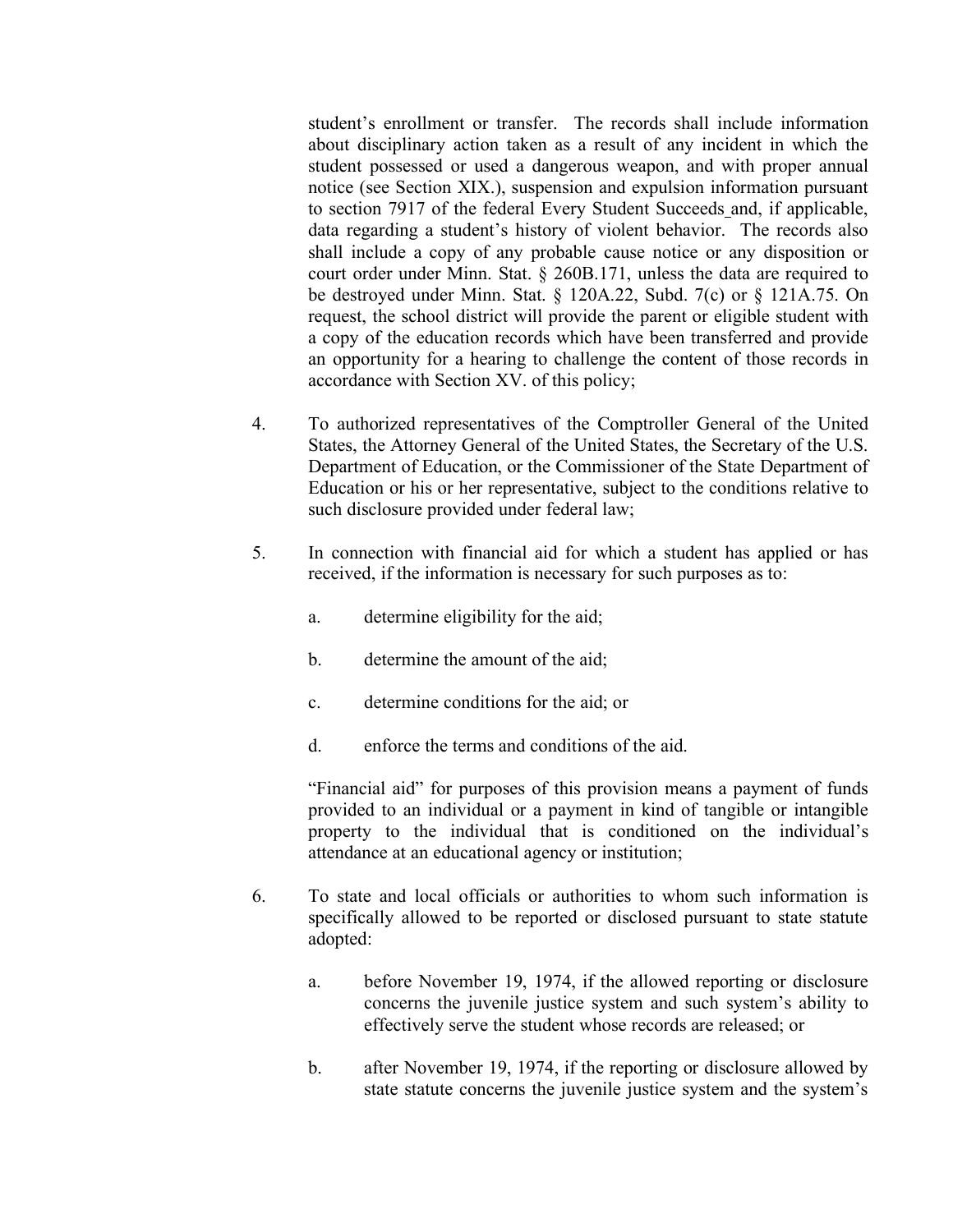student's enrollment or transfer. The records shall include information about disciplinary action taken as a result of any incident in which the student possessed or used a dangerous weapon, and with proper annual notice (see Section XIX.), suspension and expulsion information pursuant to section 7917 of the federal Every Student Succeeds and, if applicable, data regarding a student's history of violent behavior. The records also shall include a copy of any probable cause notice or any disposition or court order under Minn. Stat. § 260B.171, unless the data are required to be destroyed under Minn. Stat. § 120A.22, Subd. 7(c) or § 121A.75. On request, the school district will provide the parent or eligible student with a copy of the education records which have been transferred and provide an opportunity for a hearing to challenge the content of those records in accordance with Section XV. of this policy;

- 4. To authorized representatives of the Comptroller General of the United States, the Attorney General of the United States, the Secretary of the U.S. Department of Education, or the Commissioner of the State Department of Education or his or her representative, subject to the conditions relative to such disclosure provided under federal law;
- 5. In connection with financial aid for which a student has applied or has received, if the information is necessary for such purposes as to:
	- a. determine eligibility for the aid;
	- b. determine the amount of the aid;
	- c. determine conditions for the aid; or
	- d. enforce the terms and conditions of the aid.

"Financial aid" for purposes of this provision means a payment of funds provided to an individual or a payment in kind of tangible or intangible property to the individual that is conditioned on the individual's attendance at an educational agency or institution;

- 6. To state and local officials or authorities to whom such information is specifically allowed to be reported or disclosed pursuant to state statute adopted:
	- a. before November 19, 1974, if the allowed reporting or disclosure concerns the juvenile justice system and such system's ability to effectively serve the student whose records are released; or
	- b. after November 19, 1974, if the reporting or disclosure allowed by state statute concerns the juvenile justice system and the system's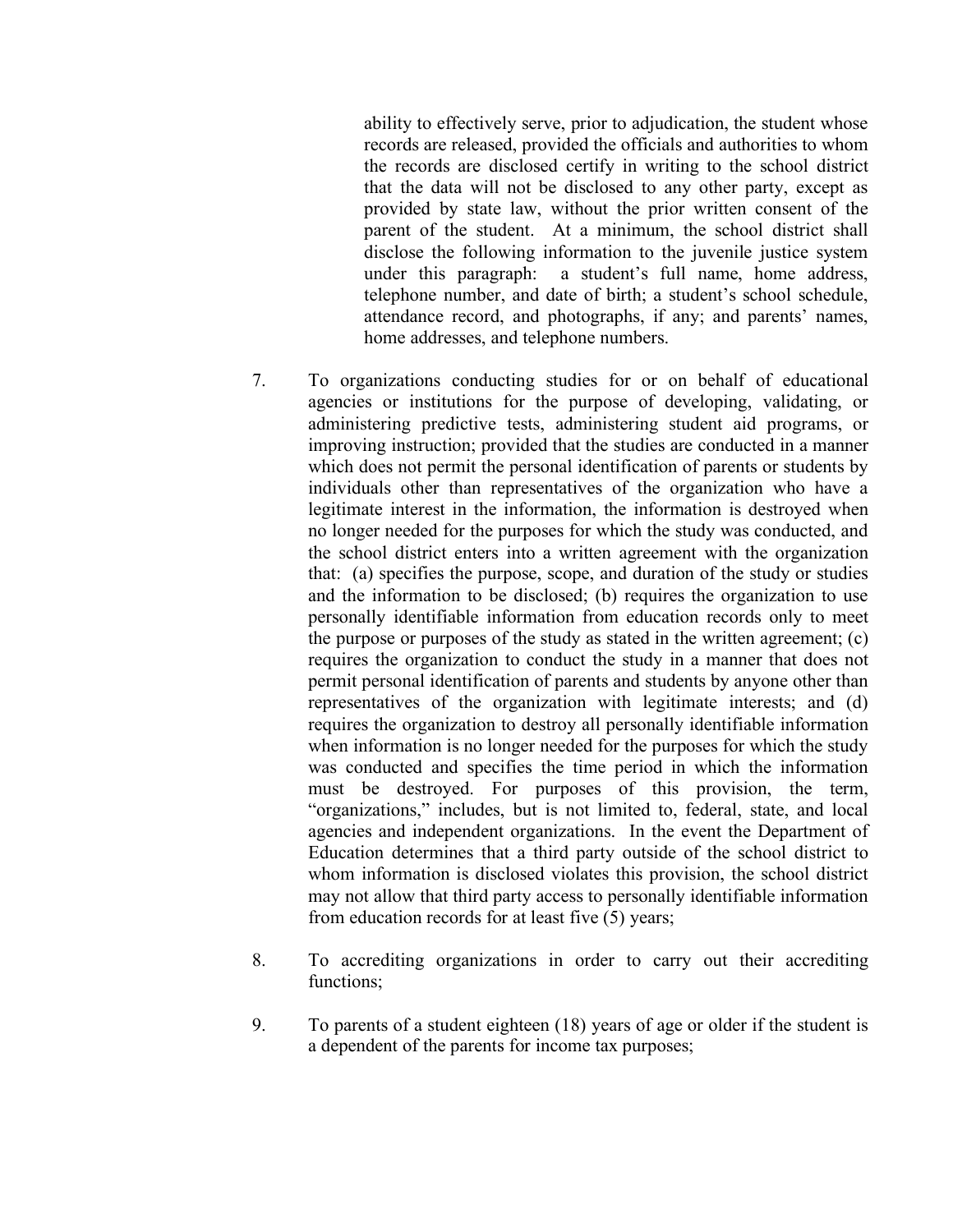ability to effectively serve, prior to adjudication, the student whose records are released, provided the officials and authorities to whom the records are disclosed certify in writing to the school district that the data will not be disclosed to any other party, except as provided by state law, without the prior written consent of the parent of the student. At a minimum, the school district shall disclose the following information to the juvenile justice system under this paragraph: a student's full name, home address, telephone number, and date of birth; a student's school schedule, attendance record, and photographs, if any; and parents' names, home addresses, and telephone numbers.

- 7. To organizations conducting studies for or on behalf of educational agencies or institutions for the purpose of developing, validating, or administering predictive tests, administering student aid programs, or improving instruction; provided that the studies are conducted in a manner which does not permit the personal identification of parents or students by individuals other than representatives of the organization who have a legitimate interest in the information, the information is destroyed when no longer needed for the purposes for which the study was conducted, and the school district enters into a written agreement with the organization that: (a) specifies the purpose, scope, and duration of the study or studies and the information to be disclosed; (b) requires the organization to use personally identifiable information from education records only to meet the purpose or purposes of the study as stated in the written agreement; (c) requires the organization to conduct the study in a manner that does not permit personal identification of parents and students by anyone other than representatives of the organization with legitimate interests; and (d) requires the organization to destroy all personally identifiable information when information is no longer needed for the purposes for which the study was conducted and specifies the time period in which the information must be destroyed. For purposes of this provision, the term, "organizations," includes, but is not limited to, federal, state, and local agencies and independent organizations. In the event the Department of Education determines that a third party outside of the school district to whom information is disclosed violates this provision, the school district may not allow that third party access to personally identifiable information from education records for at least five (5) years;
- 8. To accrediting organizations in order to carry out their accrediting functions;
- 9. To parents of a student eighteen (18) years of age or older if the student is a dependent of the parents for income tax purposes;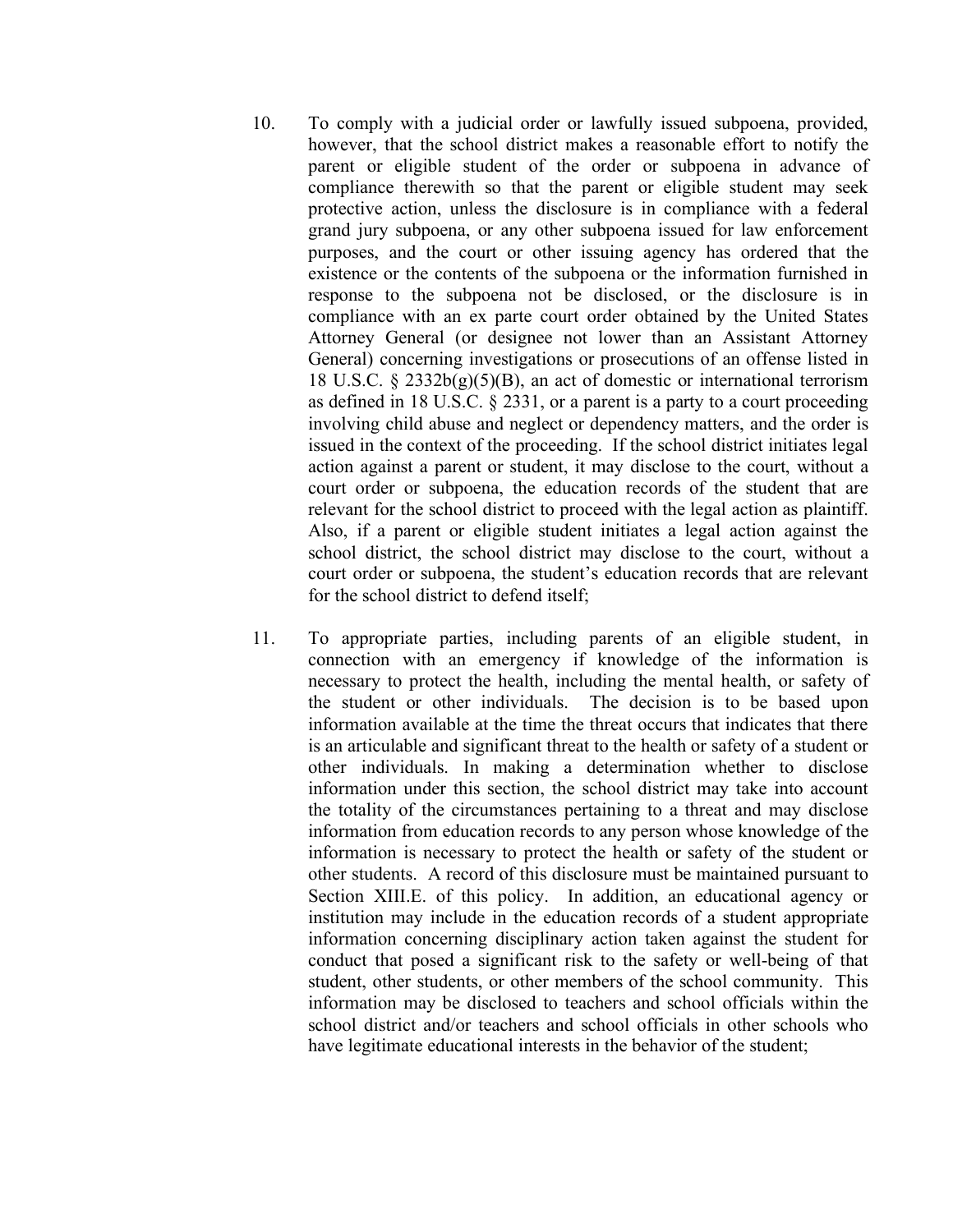- 10. To comply with a judicial order or lawfully issued subpoena, provided, however, that the school district makes a reasonable effort to notify the parent or eligible student of the order or subpoena in advance of compliance therewith so that the parent or eligible student may seek protective action, unless the disclosure is in compliance with a federal grand jury subpoena, or any other subpoena issued for law enforcement purposes, and the court or other issuing agency has ordered that the existence or the contents of the subpoena or the information furnished in response to the subpoena not be disclosed, or the disclosure is in compliance with an ex parte court order obtained by the United States Attorney General (or designee not lower than an Assistant Attorney General) concerning investigations or prosecutions of an offense listed in 18 U.S.C. § 2332b(g)(5)(B), an act of domestic or international terrorism as defined in 18 U.S.C. § 2331, or a parent is a party to a court proceeding involving child abuse and neglect or dependency matters, and the order is issued in the context of the proceeding. If the school district initiates legal action against a parent or student, it may disclose to the court, without a court order or subpoena, the education records of the student that are relevant for the school district to proceed with the legal action as plaintiff. Also, if a parent or eligible student initiates a legal action against the school district, the school district may disclose to the court, without a court order or subpoena, the student's education records that are relevant for the school district to defend itself;
- 11. To appropriate parties, including parents of an eligible student, in connection with an emergency if knowledge of the information is necessary to protect the health, including the mental health, or safety of the student or other individuals. The decision is to be based upon information available at the time the threat occurs that indicates that there is an articulable and significant threat to the health or safety of a student or other individuals. In making a determination whether to disclose information under this section, the school district may take into account the totality of the circumstances pertaining to a threat and may disclose information from education records to any person whose knowledge of the information is necessary to protect the health or safety of the student or other students. A record of this disclosure must be maintained pursuant to Section XIII.E. of this policy. In addition, an educational agency or institution may include in the education records of a student appropriate information concerning disciplinary action taken against the student for conduct that posed a significant risk to the safety or well-being of that student, other students, or other members of the school community. This information may be disclosed to teachers and school officials within the school district and/or teachers and school officials in other schools who have legitimate educational interests in the behavior of the student;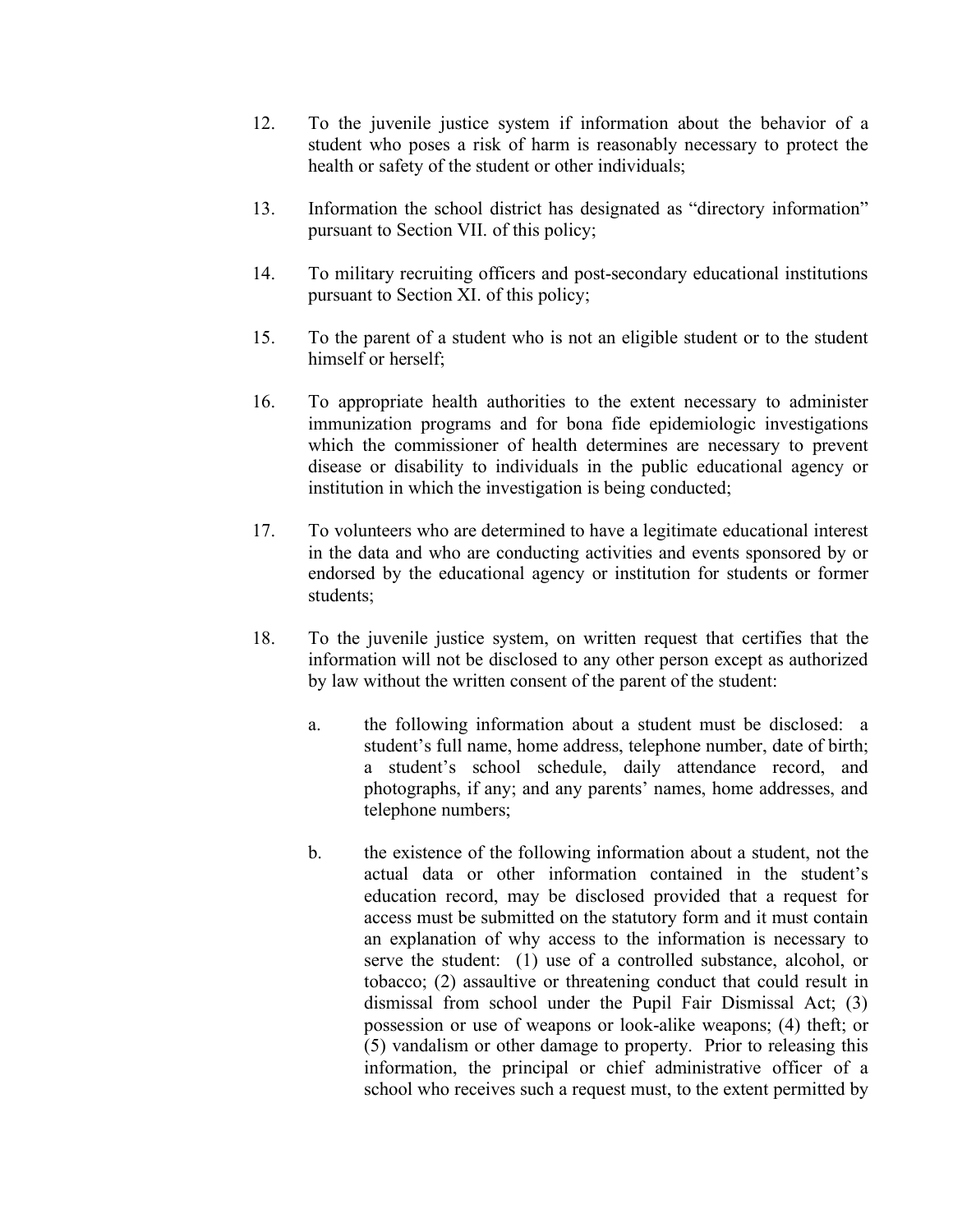- 12. To the juvenile justice system if information about the behavior of a student who poses a risk of harm is reasonably necessary to protect the health or safety of the student or other individuals;
- 13. Information the school district has designated as "directory information" pursuant to Section VII. of this policy;
- 14. To military recruiting officers and post-secondary educational institutions pursuant to Section XI. of this policy;
- 15. To the parent of a student who is not an eligible student or to the student himself or herself;
- 16. To appropriate health authorities to the extent necessary to administer immunization programs and for bona fide epidemiologic investigations which the commissioner of health determines are necessary to prevent disease or disability to individuals in the public educational agency or institution in which the investigation is being conducted;
- 17. To volunteers who are determined to have a legitimate educational interest in the data and who are conducting activities and events sponsored by or endorsed by the educational agency or institution for students or former students;
- 18. To the juvenile justice system, on written request that certifies that the information will not be disclosed to any other person except as authorized by law without the written consent of the parent of the student:
	- a. the following information about a student must be disclosed: a student's full name, home address, telephone number, date of birth; a student's school schedule, daily attendance record, and photographs, if any; and any parents' names, home addresses, and telephone numbers;
	- b. the existence of the following information about a student, not the actual data or other information contained in the student's education record, may be disclosed provided that a request for access must be submitted on the statutory form and it must contain an explanation of why access to the information is necessary to serve the student: (1) use of a controlled substance, alcohol, or tobacco; (2) assaultive or threatening conduct that could result in dismissal from school under the Pupil Fair Dismissal Act; (3) possession or use of weapons or look-alike weapons; (4) theft; or (5) vandalism or other damage to property. Prior to releasing this information, the principal or chief administrative officer of a school who receives such a request must, to the extent permitted by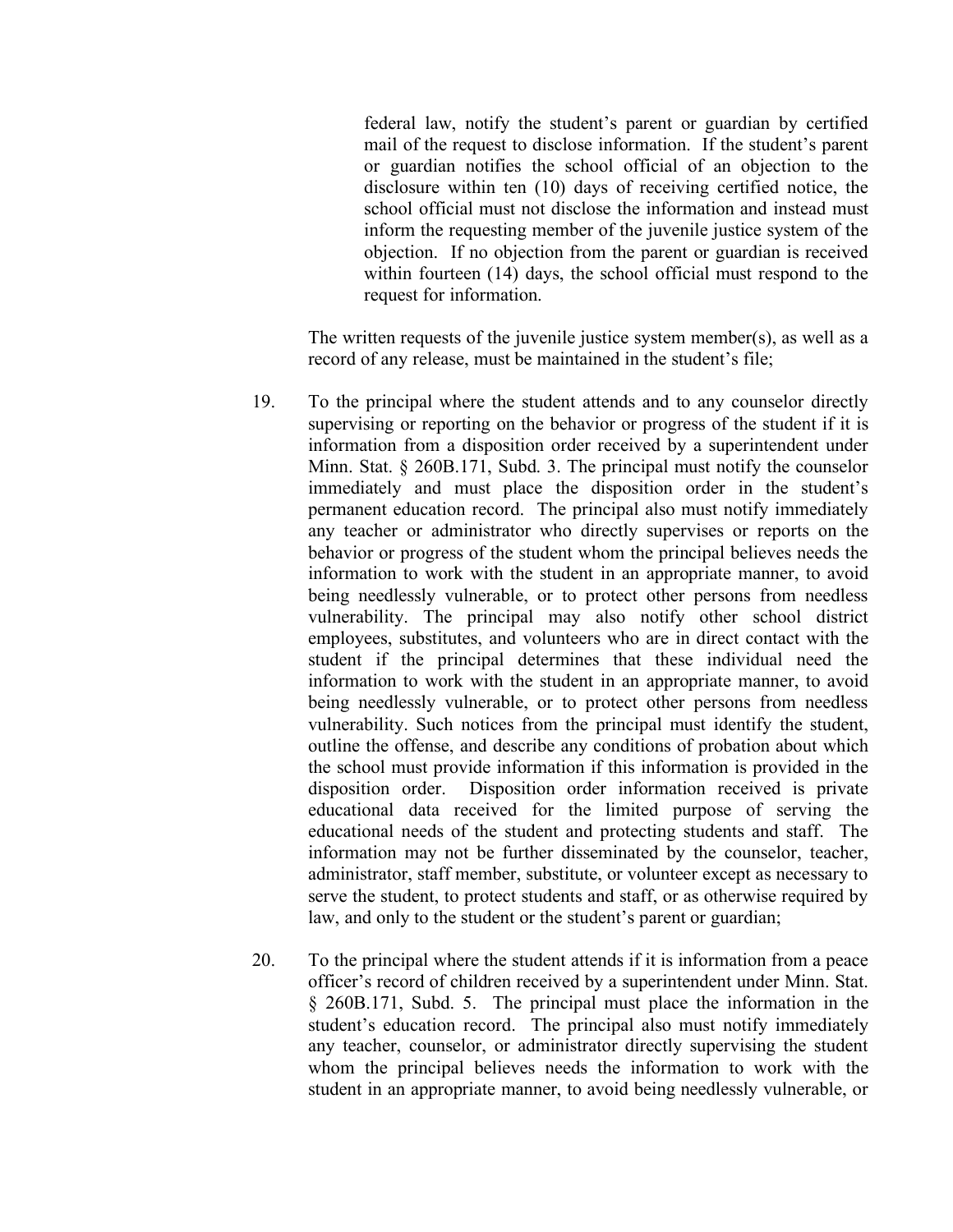federal law, notify the student's parent or guardian by certified mail of the request to disclose information. If the student's parent or guardian notifies the school official of an objection to the disclosure within ten (10) days of receiving certified notice, the school official must not disclose the information and instead must inform the requesting member of the juvenile justice system of the objection. If no objection from the parent or guardian is received within fourteen (14) days, the school official must respond to the request for information.

The written requests of the juvenile justice system member(s), as well as a record of any release, must be maintained in the student's file;

- 19. To the principal where the student attends and to any counselor directly supervising or reporting on the behavior or progress of the student if it is information from a disposition order received by a superintendent under Minn. Stat. § 260B.171, Subd. 3. The principal must notify the counselor immediately and must place the disposition order in the student's permanent education record. The principal also must notify immediately any teacher or administrator who directly supervises or reports on the behavior or progress of the student whom the principal believes needs the information to work with the student in an appropriate manner, to avoid being needlessly vulnerable, or to protect other persons from needless vulnerability. The principal may also notify other school district employees, substitutes, and volunteers who are in direct contact with the student if the principal determines that these individual need the information to work with the student in an appropriate manner, to avoid being needlessly vulnerable, or to protect other persons from needless vulnerability. Such notices from the principal must identify the student, outline the offense, and describe any conditions of probation about which the school must provide information if this information is provided in the disposition order. Disposition order information received is private educational data received for the limited purpose of serving the educational needs of the student and protecting students and staff. The information may not be further disseminated by the counselor, teacher, administrator, staff member, substitute, or volunteer except as necessary to serve the student, to protect students and staff, or as otherwise required by law, and only to the student or the student's parent or guardian;
- 20. To the principal where the student attends if it is information from a peace officer's record of children received by a superintendent under Minn. Stat. § 260B.171, Subd. 5. The principal must place the information in the student's education record. The principal also must notify immediately any teacher, counselor, or administrator directly supervising the student whom the principal believes needs the information to work with the student in an appropriate manner, to avoid being needlessly vulnerable, or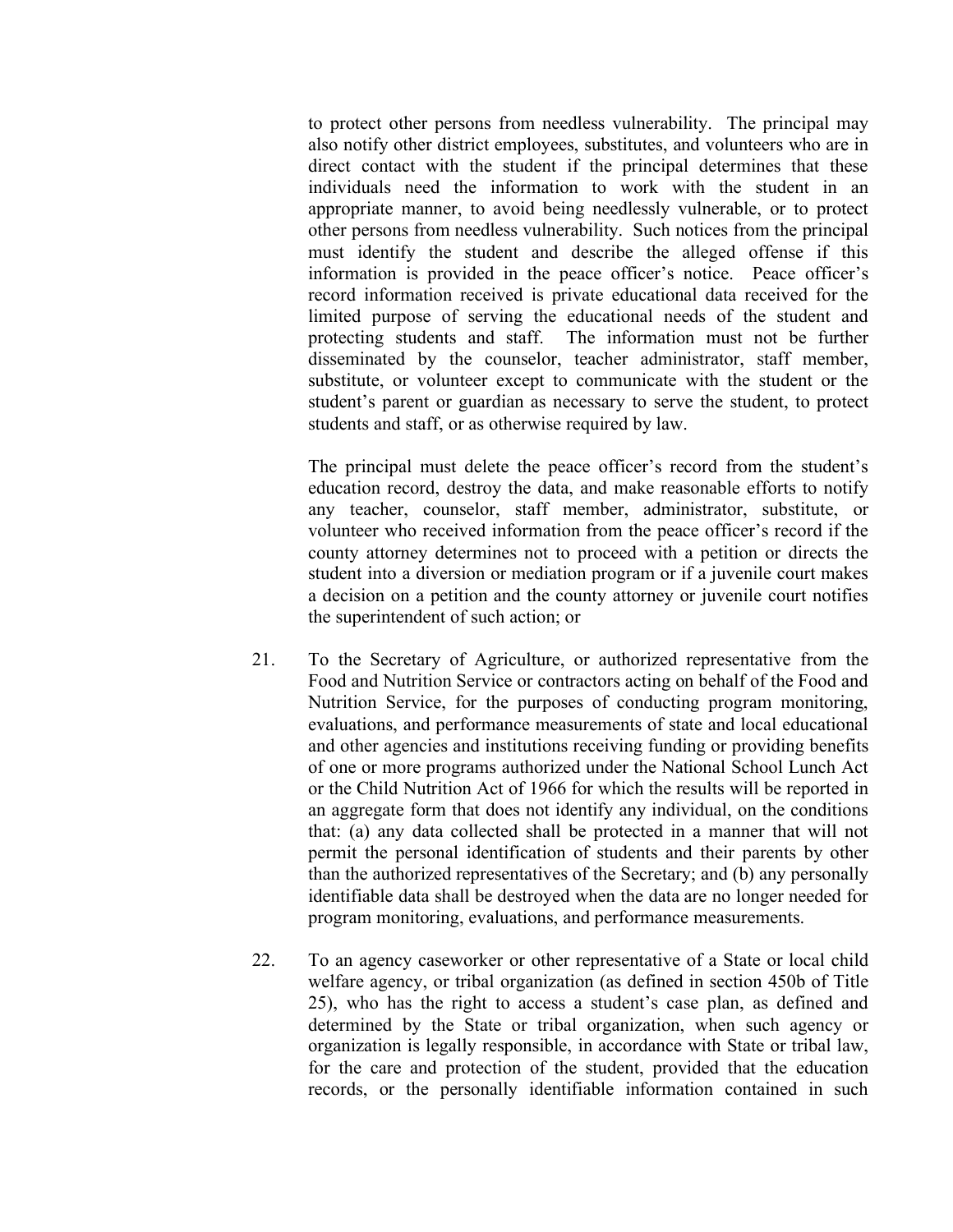to protect other persons from needless vulnerability. The principal may also notify other district employees, substitutes, and volunteers who are in direct contact with the student if the principal determines that these individuals need the information to work with the student in an appropriate manner, to avoid being needlessly vulnerable, or to protect other persons from needless vulnerability. Such notices from the principal must identify the student and describe the alleged offense if this information is provided in the peace officer's notice. Peace officer's record information received is private educational data received for the limited purpose of serving the educational needs of the student and protecting students and staff. The information must not be further disseminated by the counselor, teacher administrator, staff member, substitute, or volunteer except to communicate with the student or the student's parent or guardian as necessary to serve the student, to protect students and staff, or as otherwise required by law.

The principal must delete the peace officer's record from the student's education record, destroy the data, and make reasonable efforts to notify any teacher, counselor, staff member, administrator, substitute, or volunteer who received information from the peace officer's record if the county attorney determines not to proceed with a petition or directs the student into a diversion or mediation program or if a juvenile court makes a decision on a petition and the county attorney or juvenile court notifies the superintendent of such action; or

- 21. To the Secretary of Agriculture, or authorized representative from the Food and Nutrition Service or contractors acting on behalf of the Food and Nutrition Service, for the purposes of conducting program monitoring, evaluations, and performance measurements of state and local educational and other agencies and institutions receiving funding or providing benefits of one or more programs authorized under the National School Lunch Act or the Child Nutrition Act of 1966 for which the results will be reported in an aggregate form that does not identify any individual, on the conditions that: (a) any data collected shall be protected in a manner that will not permit the personal identification of students and their parents by other than the authorized representatives of the Secretary; and (b) any personally identifiable data shall be destroyed when the data are no longer needed for program monitoring, evaluations, and performance measurements.
- 22. To an agency caseworker or other representative of a State or local child welfare agency, or tribal organization (as defined in section 450b of Title 25), who has the right to access a student's case plan, as defined and determined by the State or tribal organization, when such agency or organization is legally responsible, in accordance with State or tribal law, for the care and protection of the student, provided that the education records, or the personally identifiable information contained in such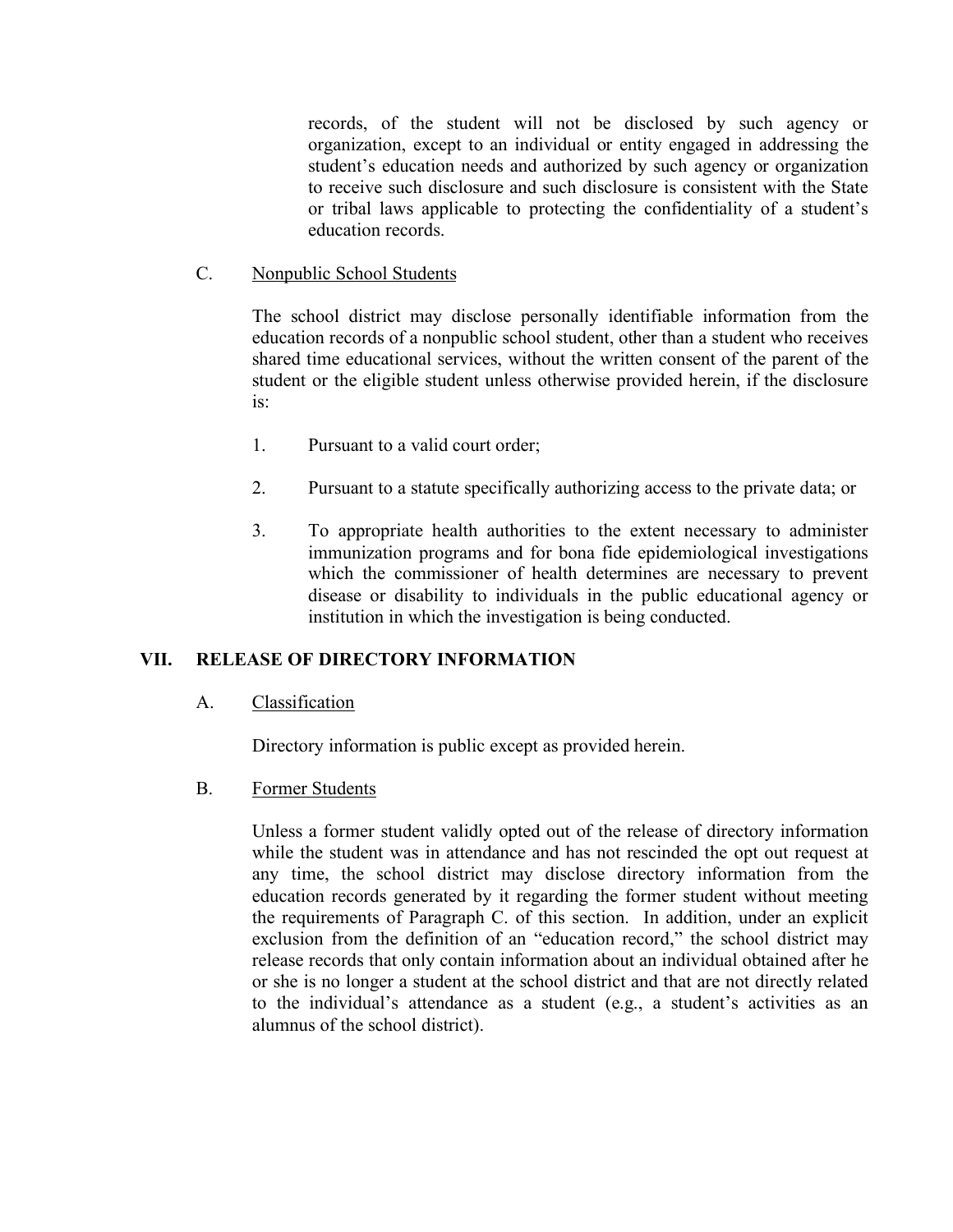records, of the student will not be disclosed by such agency or organization, except to an individual or entity engaged in addressing the student's education needs and authorized by such agency or organization to receive such disclosure and such disclosure is consistent with the State or tribal laws applicable to protecting the confidentiality of a student's education records.

C. Nonpublic School Students

The school district may disclose personally identifiable information from the education records of a nonpublic school student, other than a student who receives shared time educational services, without the written consent of the parent of the student or the eligible student unless otherwise provided herein, if the disclosure is:

- 1. Pursuant to a valid court order;
- 2. Pursuant to a statute specifically authorizing access to the private data; or
- 3. To appropriate health authorities to the extent necessary to administer immunization programs and for bona fide epidemiological investigations which the commissioner of health determines are necessary to prevent disease or disability to individuals in the public educational agency or institution in which the investigation is being conducted.

## **VII. RELEASE OF DIRECTORY INFORMATION**

A. Classification

Directory information is public except as provided herein.

B. Former Students

Unless a former student validly opted out of the release of directory information while the student was in attendance and has not rescinded the opt out request at any time, the school district may disclose directory information from the education records generated by it regarding the former student without meeting the requirements of Paragraph C. of this section. In addition, under an explicit exclusion from the definition of an "education record," the school district may release records that only contain information about an individual obtained after he or she is no longer a student at the school district and that are not directly related to the individual's attendance as a student (e.g., a student's activities as an alumnus of the school district).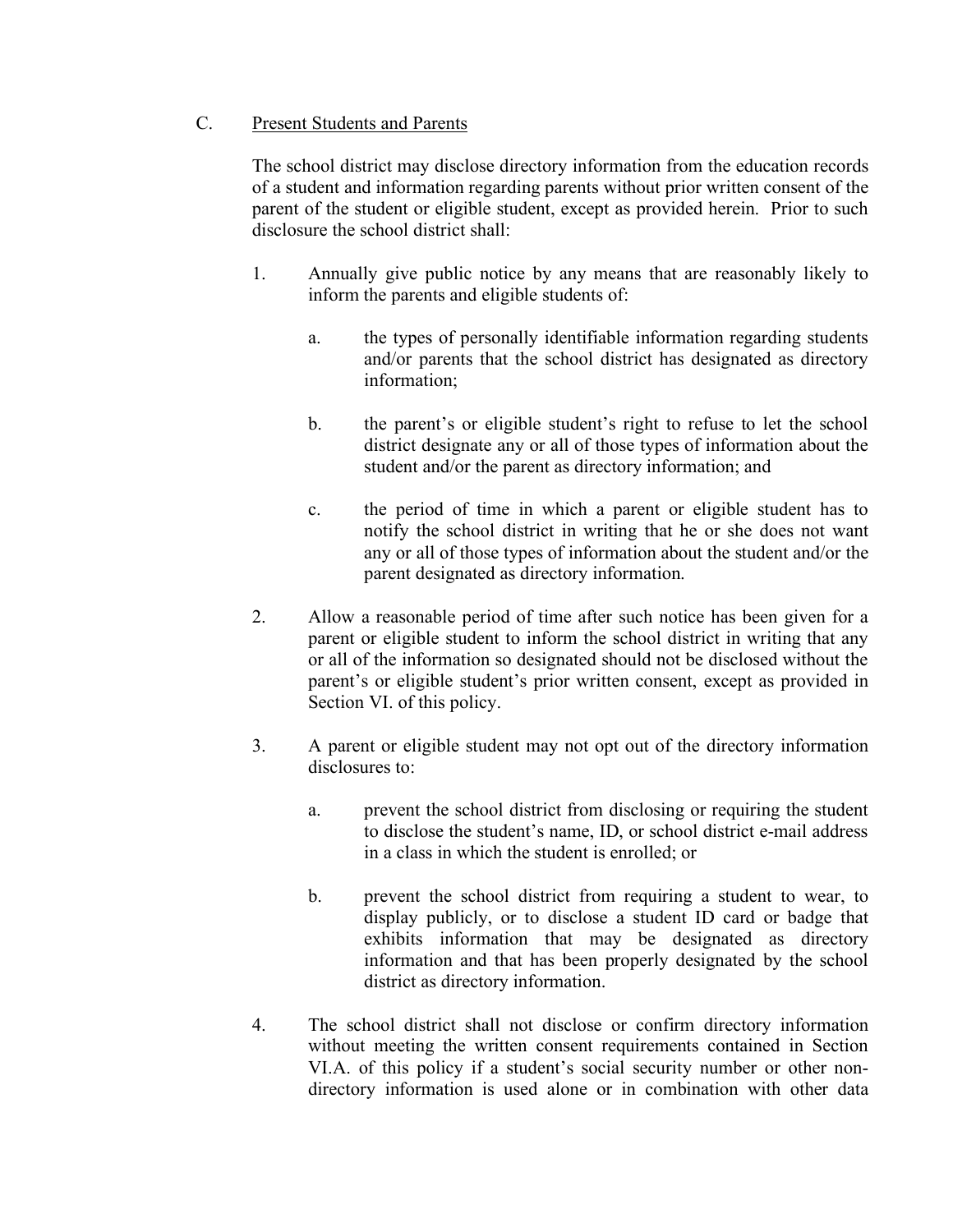## C. Present Students and Parents

The school district may disclose directory information from the education records of a student and information regarding parents without prior written consent of the parent of the student or eligible student, except as provided herein. Prior to such disclosure the school district shall:

- 1. Annually give public notice by any means that are reasonably likely to inform the parents and eligible students of:
	- a. the types of personally identifiable information regarding students and/or parents that the school district has designated as directory information;
	- b. the parent's or eligible student's right to refuse to let the school district designate any or all of those types of information about the student and/or the parent as directory information; and
	- c. the period of time in which a parent or eligible student has to notify the school district in writing that he or she does not want any or all of those types of information about the student and/or the parent designated as directory information.
- 2. Allow a reasonable period of time after such notice has been given for a parent or eligible student to inform the school district in writing that any or all of the information so designated should not be disclosed without the parent's or eligible student's prior written consent, except as provided in Section VI. of this policy.
- 3. A parent or eligible student may not opt out of the directory information disclosures to:
	- a. prevent the school district from disclosing or requiring the student to disclose the student's name, ID, or school district e-mail address in a class in which the student is enrolled; or
	- b. prevent the school district from requiring a student to wear, to display publicly, or to disclose a student ID card or badge that exhibits information that may be designated as directory information and that has been properly designated by the school district as directory information.
- 4. The school district shall not disclose or confirm directory information without meeting the written consent requirements contained in Section VI.A. of this policy if a student's social security number or other nondirectory information is used alone or in combination with other data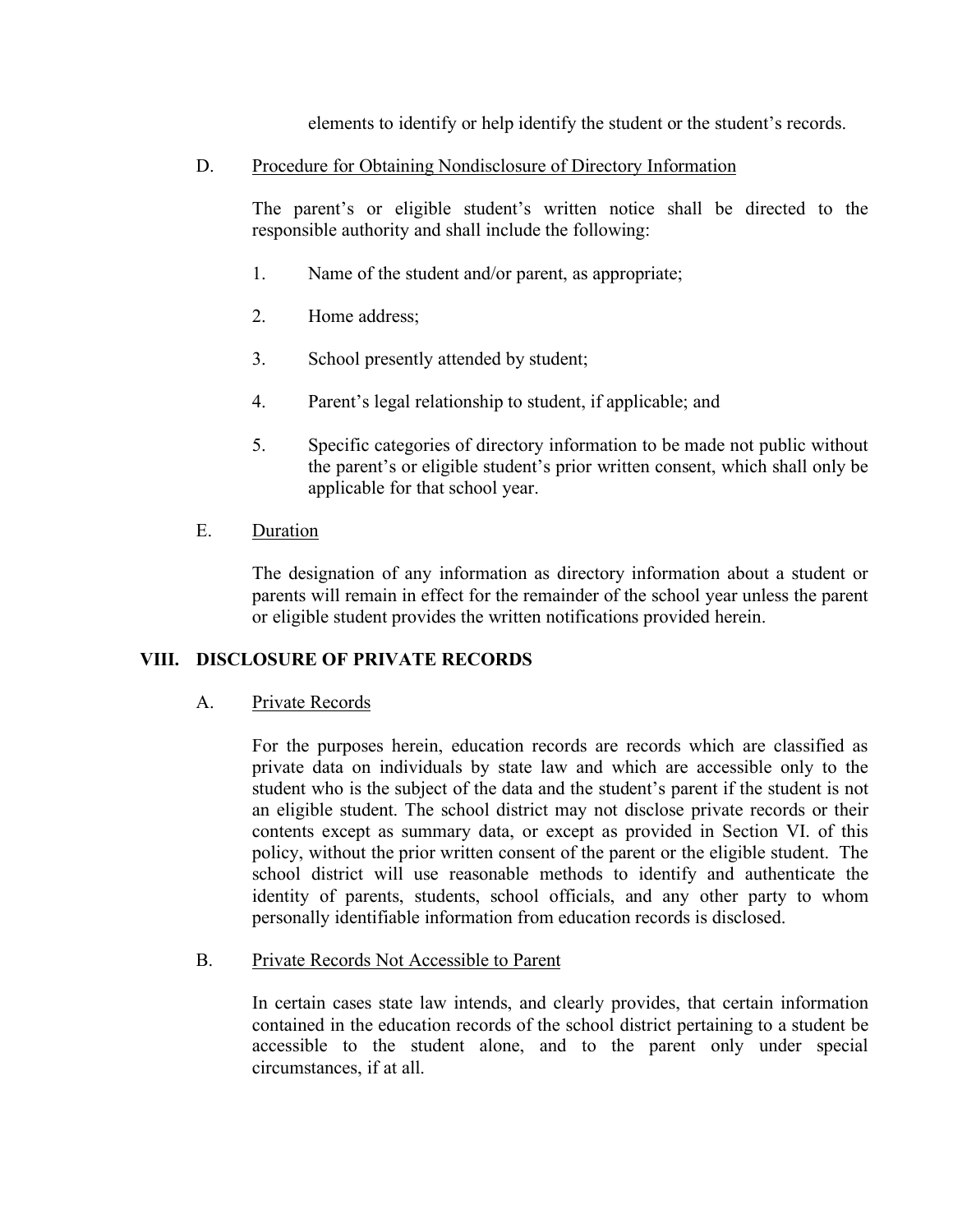elements to identify or help identify the student or the student's records.

D. Procedure for Obtaining Nondisclosure of Directory Information

The parent's or eligible student's written notice shall be directed to the responsible authority and shall include the following:

- 1. Name of the student and/or parent, as appropriate;
- 2. Home address;
- 3. School presently attended by student;
- 4. Parent's legal relationship to student, if applicable; and
- 5. Specific categories of directory information to be made not public without the parent's or eligible student's prior written consent, which shall only be applicable for that school year.
- E. Duration

The designation of any information as directory information about a student or parents will remain in effect for the remainder of the school year unless the parent or eligible student provides the written notifications provided herein.

## **VIII. DISCLOSURE OF PRIVATE RECORDS**

## A. Private Records

For the purposes herein, education records are records which are classified as private data on individuals by state law and which are accessible only to the student who is the subject of the data and the student's parent if the student is not an eligible student. The school district may not disclose private records or their contents except as summary data, or except as provided in Section VI. of this policy, without the prior written consent of the parent or the eligible student. The school district will use reasonable methods to identify and authenticate the identity of parents, students, school officials, and any other party to whom personally identifiable information from education records is disclosed.

#### B. Private Records Not Accessible to Parent

In certain cases state law intends, and clearly provides, that certain information contained in the education records of the school district pertaining to a student be accessible to the student alone, and to the parent only under special circumstances, if at all.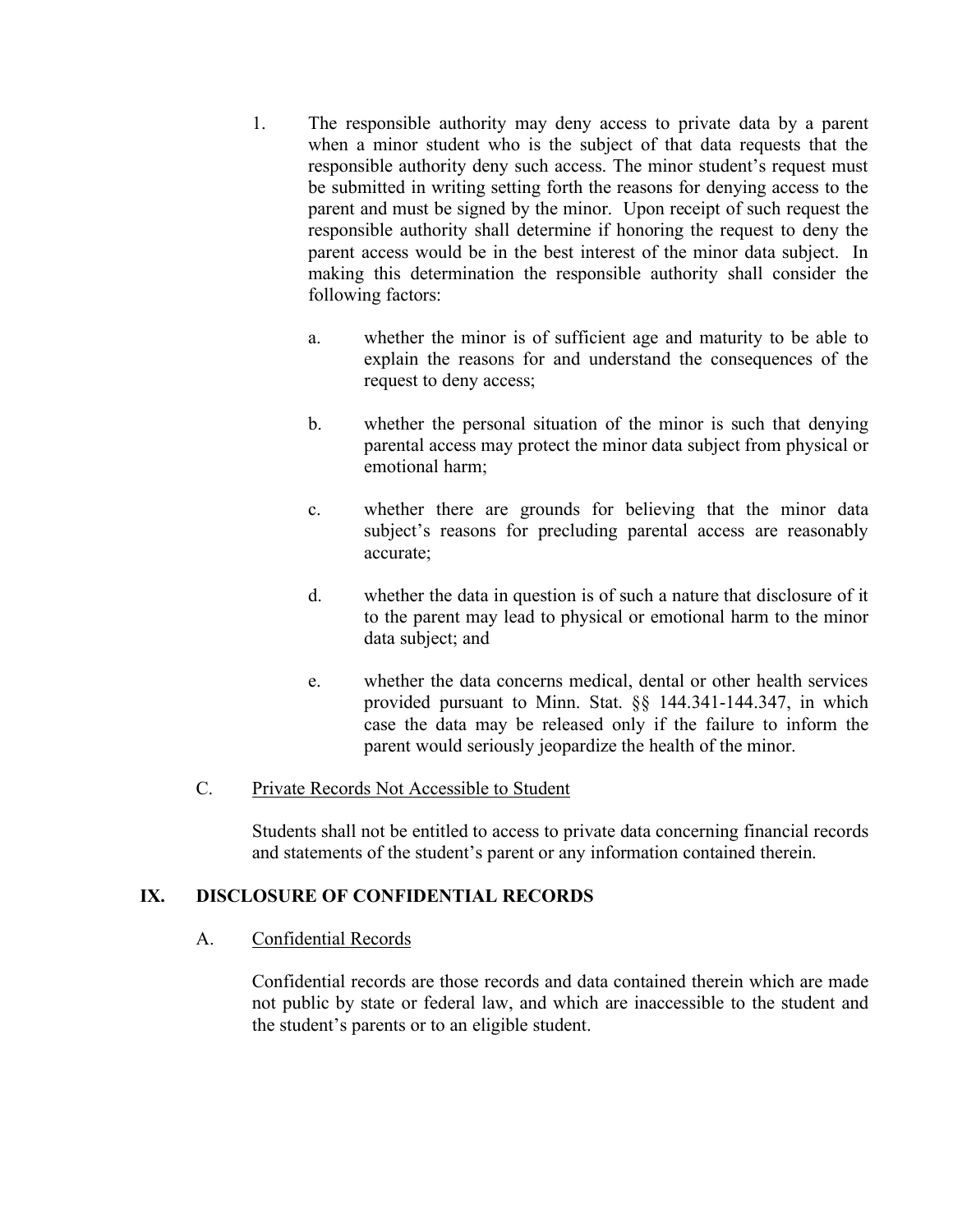- 1. The responsible authority may deny access to private data by a parent when a minor student who is the subject of that data requests that the responsible authority deny such access. The minor student's request must be submitted in writing setting forth the reasons for denying access to the parent and must be signed by the minor. Upon receipt of such request the responsible authority shall determine if honoring the request to deny the parent access would be in the best interest of the minor data subject. In making this determination the responsible authority shall consider the following factors:
	- a. whether the minor is of sufficient age and maturity to be able to explain the reasons for and understand the consequences of the request to deny access;
	- b. whether the personal situation of the minor is such that denying parental access may protect the minor data subject from physical or emotional harm;
	- c. whether there are grounds for believing that the minor data subject's reasons for precluding parental access are reasonably accurate;
	- d. whether the data in question is of such a nature that disclosure of it to the parent may lead to physical or emotional harm to the minor data subject; and
	- e. whether the data concerns medical, dental or other health services provided pursuant to Minn. Stat. §§ 144.341-144.347, in which case the data may be released only if the failure to inform the parent would seriously jeopardize the health of the minor.

## C. Private Records Not Accessible to Student

Students shall not be entitled to access to private data concerning financial records and statements of the student's parent or any information contained therein.

## **IX. DISCLOSURE OF CONFIDENTIAL RECORDS**

## A. Confidential Records

Confidential records are those records and data contained therein which are made not public by state or federal law, and which are inaccessible to the student and the student's parents or to an eligible student.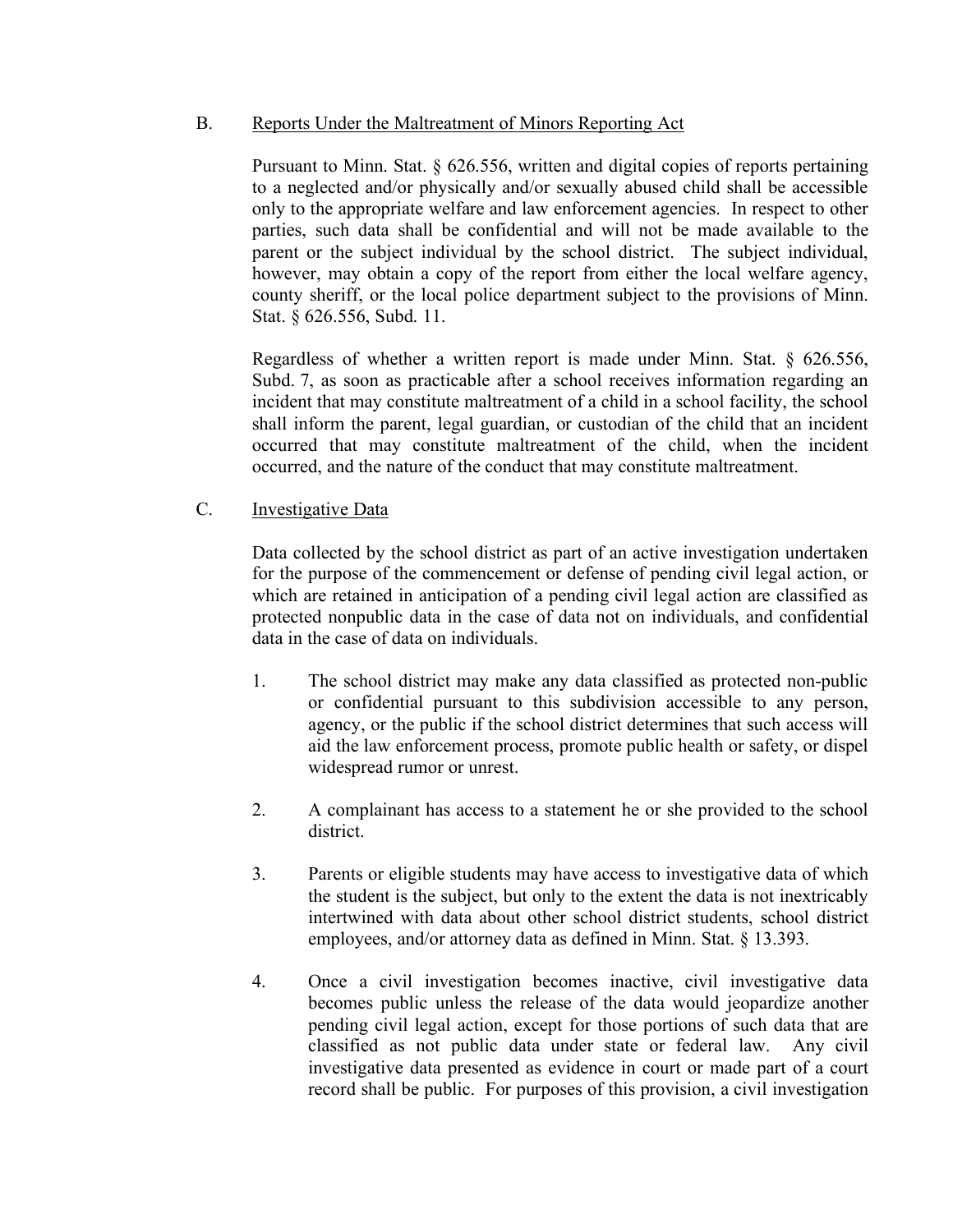## B. Reports Under the Maltreatment of Minors Reporting Act

Pursuant to Minn. Stat. § 626.556, written and digital copies of reports pertaining to a neglected and/or physically and/or sexually abused child shall be accessible only to the appropriate welfare and law enforcement agencies. In respect to other parties, such data shall be confidential and will not be made available to the parent or the subject individual by the school district. The subject individual, however, may obtain a copy of the report from either the local welfare agency, county sheriff, or the local police department subject to the provisions of Minn. Stat. § 626.556, Subd. 11.

Regardless of whether a written report is made under Minn. Stat. § 626.556, Subd. 7, as soon as practicable after a school receives information regarding an incident that may constitute maltreatment of a child in a school facility, the school shall inform the parent, legal guardian, or custodian of the child that an incident occurred that may constitute maltreatment of the child, when the incident occurred, and the nature of the conduct that may constitute maltreatment.

## C. Investigative Data

Data collected by the school district as part of an active investigation undertaken for the purpose of the commencement or defense of pending civil legal action, or which are retained in anticipation of a pending civil legal action are classified as protected nonpublic data in the case of data not on individuals, and confidential data in the case of data on individuals.

- 1. The school district may make any data classified as protected non-public or confidential pursuant to this subdivision accessible to any person, agency, or the public if the school district determines that such access will aid the law enforcement process, promote public health or safety, or dispel widespread rumor or unrest.
- 2. A complainant has access to a statement he or she provided to the school district.
- 3. Parents or eligible students may have access to investigative data of which the student is the subject, but only to the extent the data is not inextricably intertwined with data about other school district students, school district employees, and/or attorney data as defined in Minn. Stat. § 13.393.
- 4. Once a civil investigation becomes inactive, civil investigative data becomes public unless the release of the data would jeopardize another pending civil legal action, except for those portions of such data that are classified as not public data under state or federal law. Any civil investigative data presented as evidence in court or made part of a court record shall be public. For purposes of this provision, a civil investigation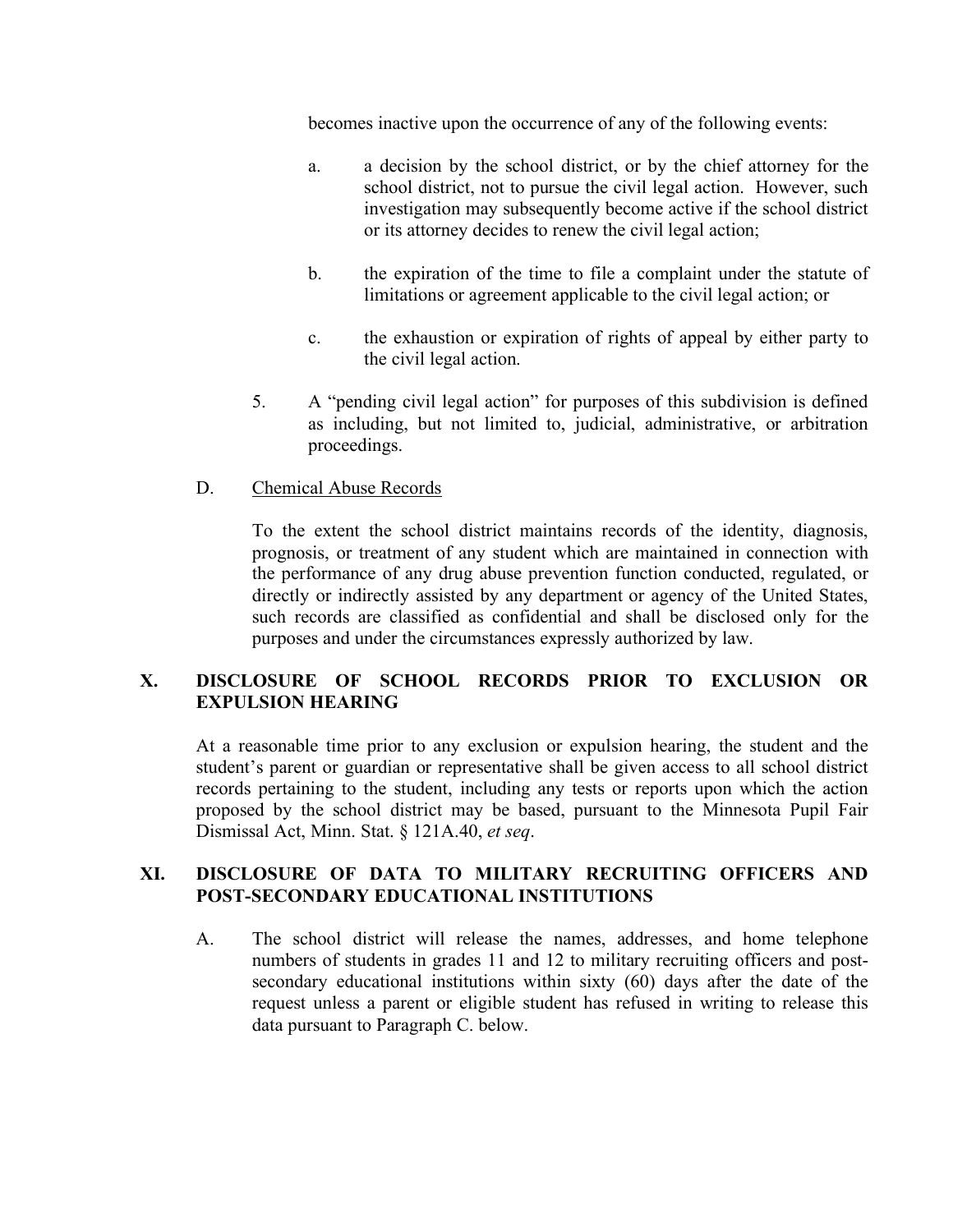becomes inactive upon the occurrence of any of the following events:

- a. a decision by the school district, or by the chief attorney for the school district, not to pursue the civil legal action. However, such investigation may subsequently become active if the school district or its attorney decides to renew the civil legal action;
- b. the expiration of the time to file a complaint under the statute of limitations or agreement applicable to the civil legal action; or
- c. the exhaustion or expiration of rights of appeal by either party to the civil legal action.
- 5. A "pending civil legal action" for purposes of this subdivision is defined as including, but not limited to, judicial, administrative, or arbitration proceedings.
- D. Chemical Abuse Records

To the extent the school district maintains records of the identity, diagnosis, prognosis, or treatment of any student which are maintained in connection with the performance of any drug abuse prevention function conducted, regulated, or directly or indirectly assisted by any department or agency of the United States, such records are classified as confidential and shall be disclosed only for the purposes and under the circumstances expressly authorized by law.

## **X. DISCLOSURE OF SCHOOL RECORDS PRIOR TO EXCLUSION OR EXPULSION HEARING**

At a reasonable time prior to any exclusion or expulsion hearing, the student and the student's parent or guardian or representative shall be given access to all school district records pertaining to the student, including any tests or reports upon which the action proposed by the school district may be based, pursuant to the Minnesota Pupil Fair Dismissal Act, Minn. Stat. § 121A.40, *et seq*.

### **XI. DISCLOSURE OF DATA TO MILITARY RECRUITING OFFICERS AND POST-SECONDARY EDUCATIONAL INSTITUTIONS**

A. The school district will release the names, addresses, and home telephone numbers of students in grades 11 and 12 to military recruiting officers and postsecondary educational institutions within sixty (60) days after the date of the request unless a parent or eligible student has refused in writing to release this data pursuant to Paragraph C. below.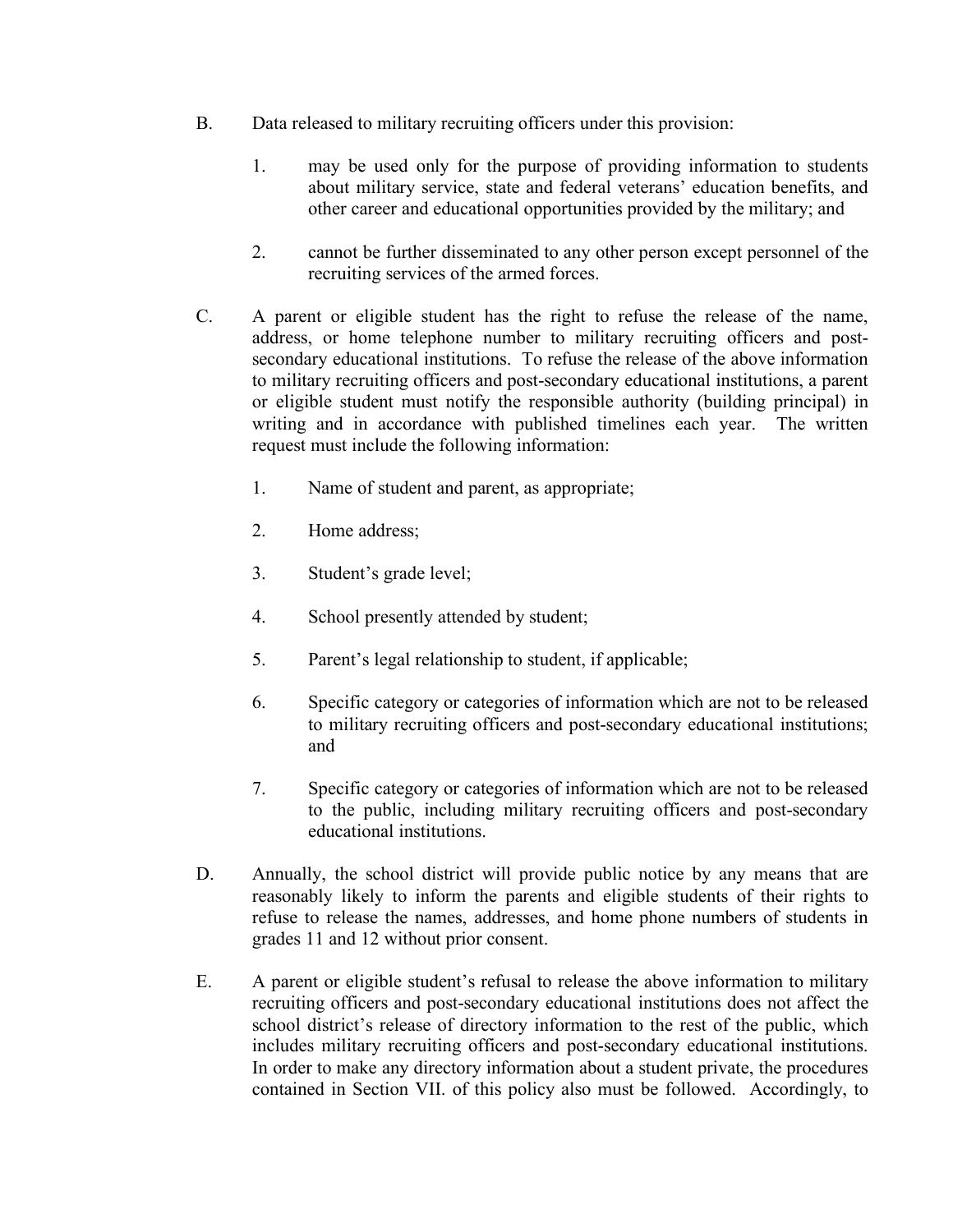- B. Data released to military recruiting officers under this provision:
	- 1. may be used only for the purpose of providing information to students about military service, state and federal veterans' education benefits, and other career and educational opportunities provided by the military; and
	- 2. cannot be further disseminated to any other person except personnel of the recruiting services of the armed forces.
- C. A parent or eligible student has the right to refuse the release of the name, address, or home telephone number to military recruiting officers and postsecondary educational institutions. To refuse the release of the above information to military recruiting officers and post-secondary educational institutions, a parent or eligible student must notify the responsible authority (building principal) in writing and in accordance with published timelines each year. The written request must include the following information:
	- 1. Name of student and parent, as appropriate;
	- 2. Home address;
	- 3. Student's grade level;
	- 4. School presently attended by student;
	- 5. Parent's legal relationship to student, if applicable;
	- 6. Specific category or categories of information which are not to be released to military recruiting officers and post-secondary educational institutions; and
	- 7. Specific category or categories of information which are not to be released to the public, including military recruiting officers and post-secondary educational institutions.
- D. Annually, the school district will provide public notice by any means that are reasonably likely to inform the parents and eligible students of their rights to refuse to release the names, addresses, and home phone numbers of students in grades 11 and 12 without prior consent.
- E. A parent or eligible student's refusal to release the above information to military recruiting officers and post-secondary educational institutions does not affect the school district's release of directory information to the rest of the public, which includes military recruiting officers and post-secondary educational institutions. In order to make any directory information about a student private, the procedures contained in Section VII. of this policy also must be followed. Accordingly, to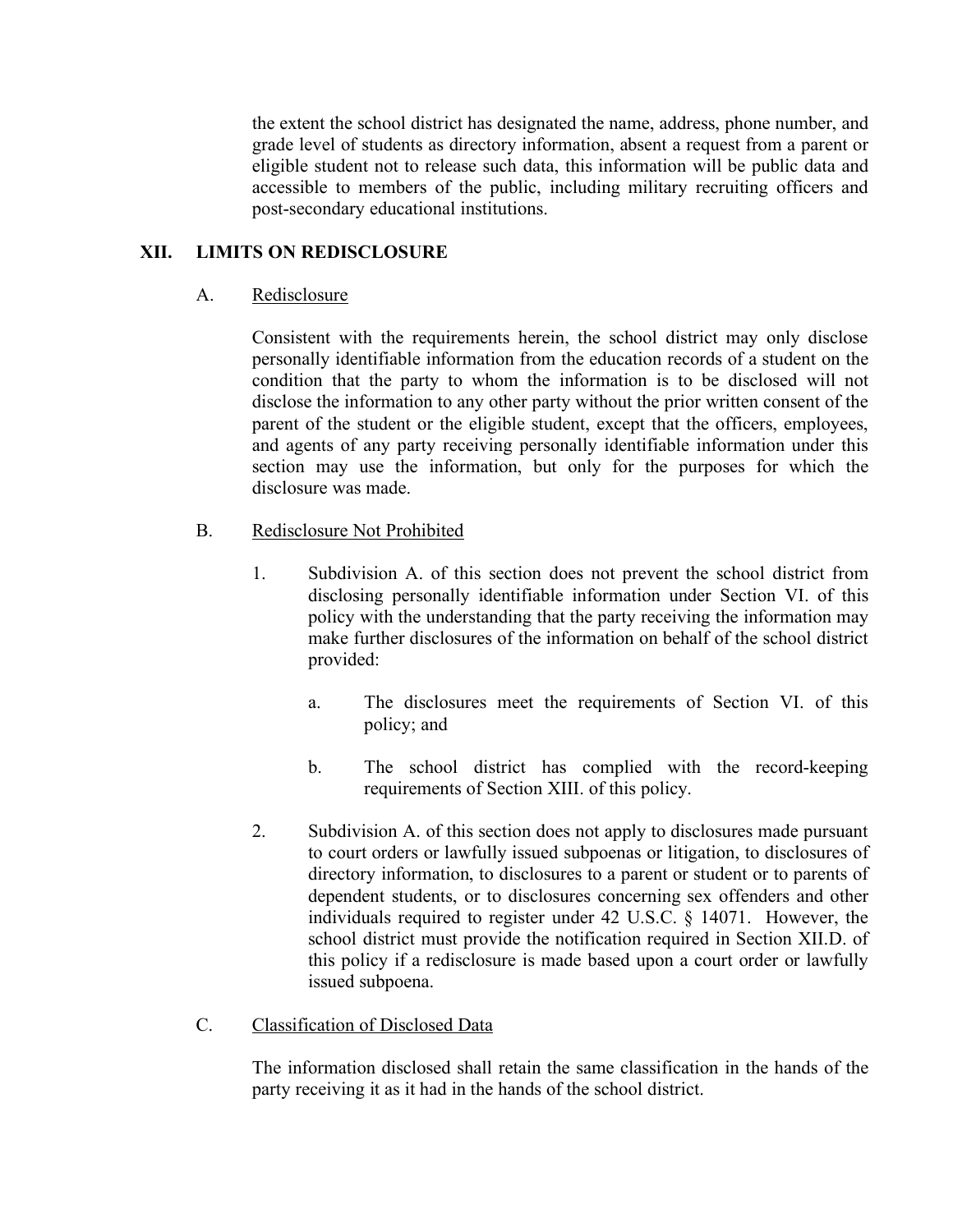the extent the school district has designated the name, address, phone number, and grade level of students as directory information, absent a request from a parent or eligible student not to release such data, this information will be public data and accessible to members of the public, including military recruiting officers and post-secondary educational institutions.

## **XII. LIMITS ON REDISCLOSURE**

## A. Redisclosure

Consistent with the requirements herein, the school district may only disclose personally identifiable information from the education records of a student on the condition that the party to whom the information is to be disclosed will not disclose the information to any other party without the prior written consent of the parent of the student or the eligible student, except that the officers, employees, and agents of any party receiving personally identifiable information under this section may use the information, but only for the purposes for which the disclosure was made.

- B. Redisclosure Not Prohibited
	- 1. Subdivision A. of this section does not prevent the school district from disclosing personally identifiable information under Section VI. of this policy with the understanding that the party receiving the information may make further disclosures of the information on behalf of the school district provided:
		- a. The disclosures meet the requirements of Section VI. of this policy; and
		- b. The school district has complied with the record-keeping requirements of Section XIII. of this policy.
	- 2. Subdivision A. of this section does not apply to disclosures made pursuant to court orders or lawfully issued subpoenas or litigation, to disclosures of directory information, to disclosures to a parent or student or to parents of dependent students, or to disclosures concerning sex offenders and other individuals required to register under 42 U.S.C. § 14071. However, the school district must provide the notification required in Section XII.D. of this policy if a redisclosure is made based upon a court order or lawfully issued subpoena.
- C. Classification of Disclosed Data

The information disclosed shall retain the same classification in the hands of the party receiving it as it had in the hands of the school district.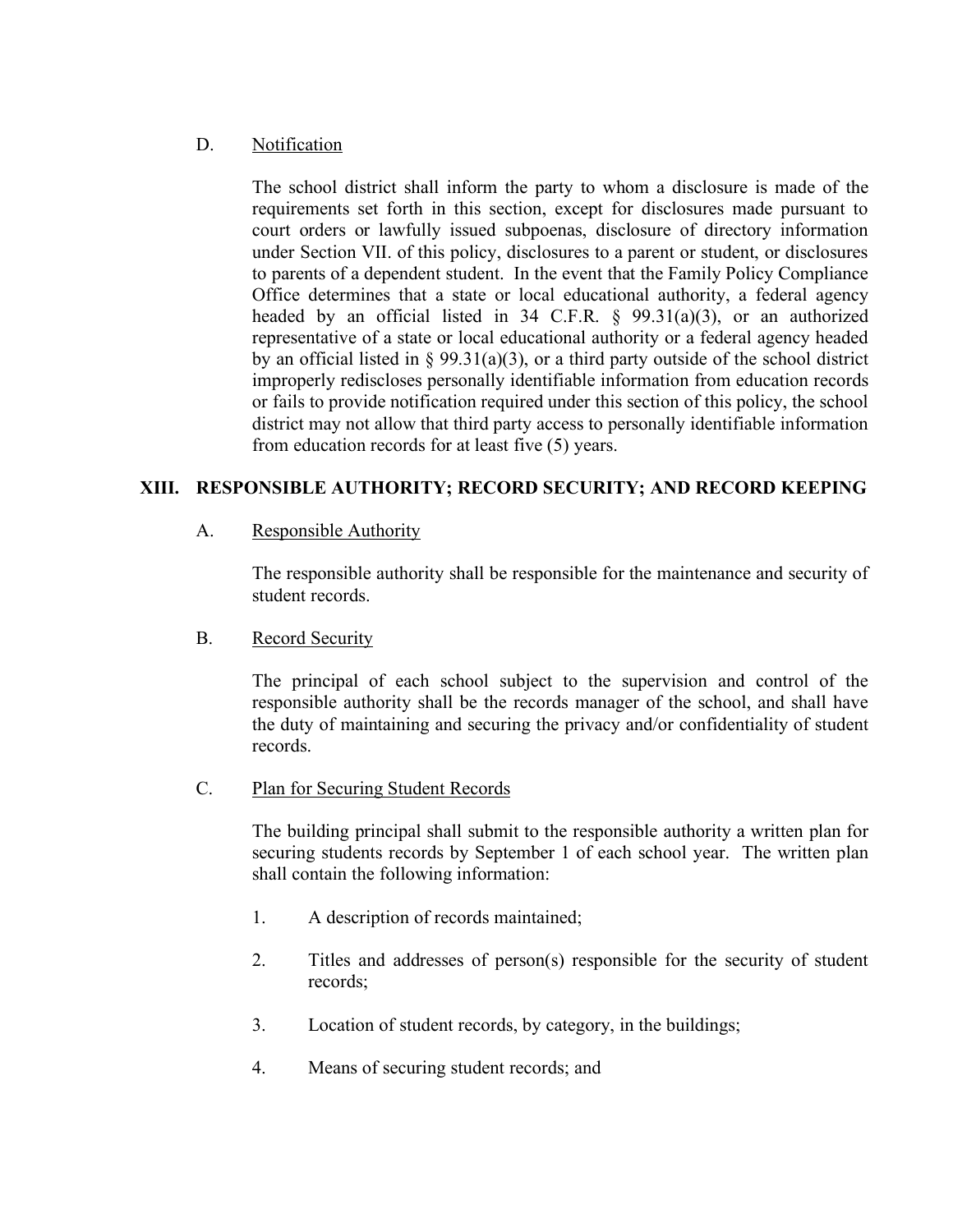## D. Notification

The school district shall inform the party to whom a disclosure is made of the requirements set forth in this section, except for disclosures made pursuant to court orders or lawfully issued subpoenas, disclosure of directory information under Section VII. of this policy, disclosures to a parent or student, or disclosures to parents of a dependent student. In the event that the Family Policy Compliance Office determines that a state or local educational authority, a federal agency headed by an official listed in 34 C.F.R. § 99.31(a)(3), or an authorized representative of a state or local educational authority or a federal agency headed by an official listed in § 99.31(a)(3), or a third party outside of the school district improperly rediscloses personally identifiable information from education records or fails to provide notification required under this section of this policy, the school district may not allow that third party access to personally identifiable information from education records for at least five (5) years.

## **XIII. RESPONSIBLE AUTHORITY; RECORD SECURITY; AND RECORD KEEPING**

## A. Responsible Authority

The responsible authority shall be responsible for the maintenance and security of student records.

## B. Record Security

The principal of each school subject to the supervision and control of the responsible authority shall be the records manager of the school, and shall have the duty of maintaining and securing the privacy and/or confidentiality of student records.

## C. Plan for Securing Student Records

The building principal shall submit to the responsible authority a written plan for securing students records by September 1 of each school year. The written plan shall contain the following information:

- 1. A description of records maintained;
- 2. Titles and addresses of person(s) responsible for the security of student records;
- 3. Location of student records, by category, in the buildings;
- 4. Means of securing student records; and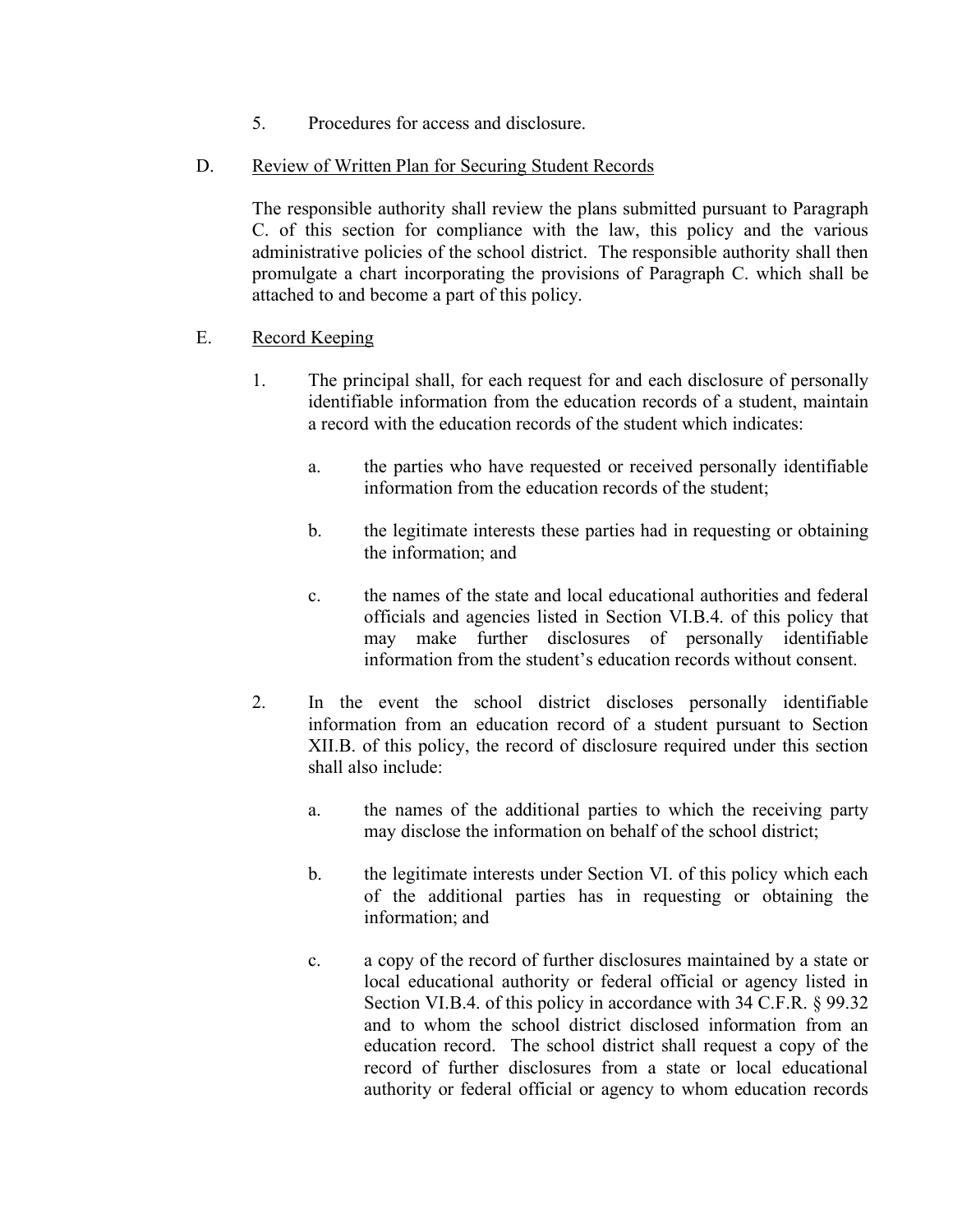- 5. Procedures for access and disclosure.
- D. Review of Written Plan for Securing Student Records

The responsible authority shall review the plans submitted pursuant to Paragraph C. of this section for compliance with the law, this policy and the various administrative policies of the school district. The responsible authority shall then promulgate a chart incorporating the provisions of Paragraph C. which shall be attached to and become a part of this policy.

- E. Record Keeping
	- 1. The principal shall, for each request for and each disclosure of personally identifiable information from the education records of a student, maintain a record with the education records of the student which indicates:
		- a. the parties who have requested or received personally identifiable information from the education records of the student;
		- b. the legitimate interests these parties had in requesting or obtaining the information; and
		- c. the names of the state and local educational authorities and federal officials and agencies listed in Section VI.B.4. of this policy that may make further disclosures of personally identifiable information from the student's education records without consent.
	- 2. In the event the school district discloses personally identifiable information from an education record of a student pursuant to Section XII.B. of this policy, the record of disclosure required under this section shall also include:
		- a. the names of the additional parties to which the receiving party may disclose the information on behalf of the school district;
		- b. the legitimate interests under Section VI. of this policy which each of the additional parties has in requesting or obtaining the information; and
		- c. a copy of the record of further disclosures maintained by a state or local educational authority or federal official or agency listed in Section VI.B.4. of this policy in accordance with 34 C.F.R. § 99.32 and to whom the school district disclosed information from an education record. The school district shall request a copy of the record of further disclosures from a state or local educational authority or federal official or agency to whom education records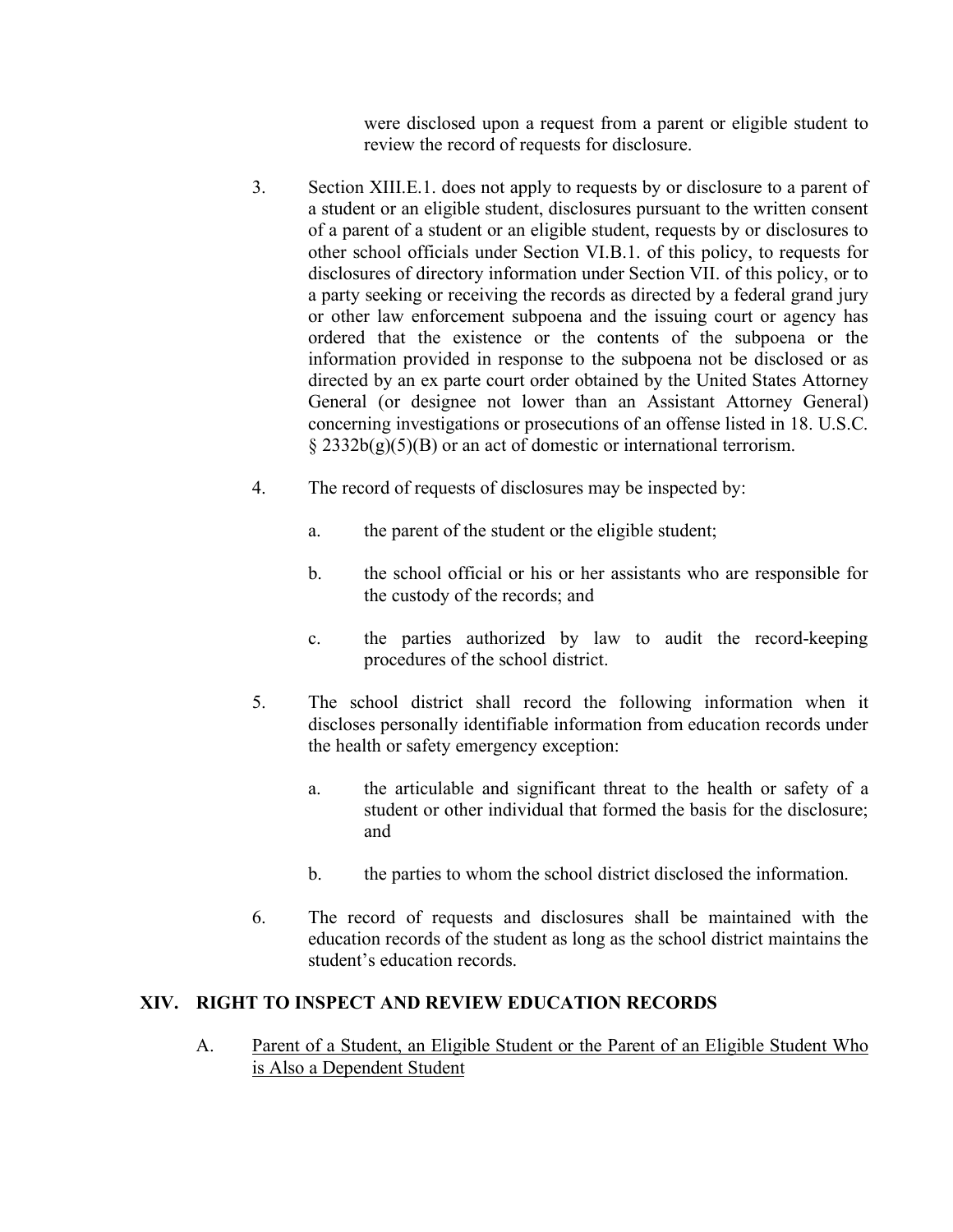were disclosed upon a request from a parent or eligible student to review the record of requests for disclosure.

- 3. Section XIII.E.1. does not apply to requests by or disclosure to a parent of a student or an eligible student, disclosures pursuant to the written consent of a parent of a student or an eligible student, requests by or disclosures to other school officials under Section VI.B.1. of this policy, to requests for disclosures of directory information under Section VII. of this policy, or to a party seeking or receiving the records as directed by a federal grand jury or other law enforcement subpoena and the issuing court or agency has ordered that the existence or the contents of the subpoena or the information provided in response to the subpoena not be disclosed or as directed by an ex parte court order obtained by the United States Attorney General (or designee not lower than an Assistant Attorney General) concerning investigations or prosecutions of an offense listed in 18. U.S.C.  $\S 2332b(g)(5)(B)$  or an act of domestic or international terrorism.
- 4. The record of requests of disclosures may be inspected by:
	- a. the parent of the student or the eligible student;
	- b. the school official or his or her assistants who are responsible for the custody of the records; and
	- c. the parties authorized by law to audit the record-keeping procedures of the school district.
- 5. The school district shall record the following information when it discloses personally identifiable information from education records under the health or safety emergency exception:
	- a. the articulable and significant threat to the health or safety of a student or other individual that formed the basis for the disclosure; and
	- b. the parties to whom the school district disclosed the information.
- 6. The record of requests and disclosures shall be maintained with the education records of the student as long as the school district maintains the student's education records.

## **XIV. RIGHT TO INSPECT AND REVIEW EDUCATION RECORDS**

A. Parent of a Student, an Eligible Student or the Parent of an Eligible Student Who is Also a Dependent Student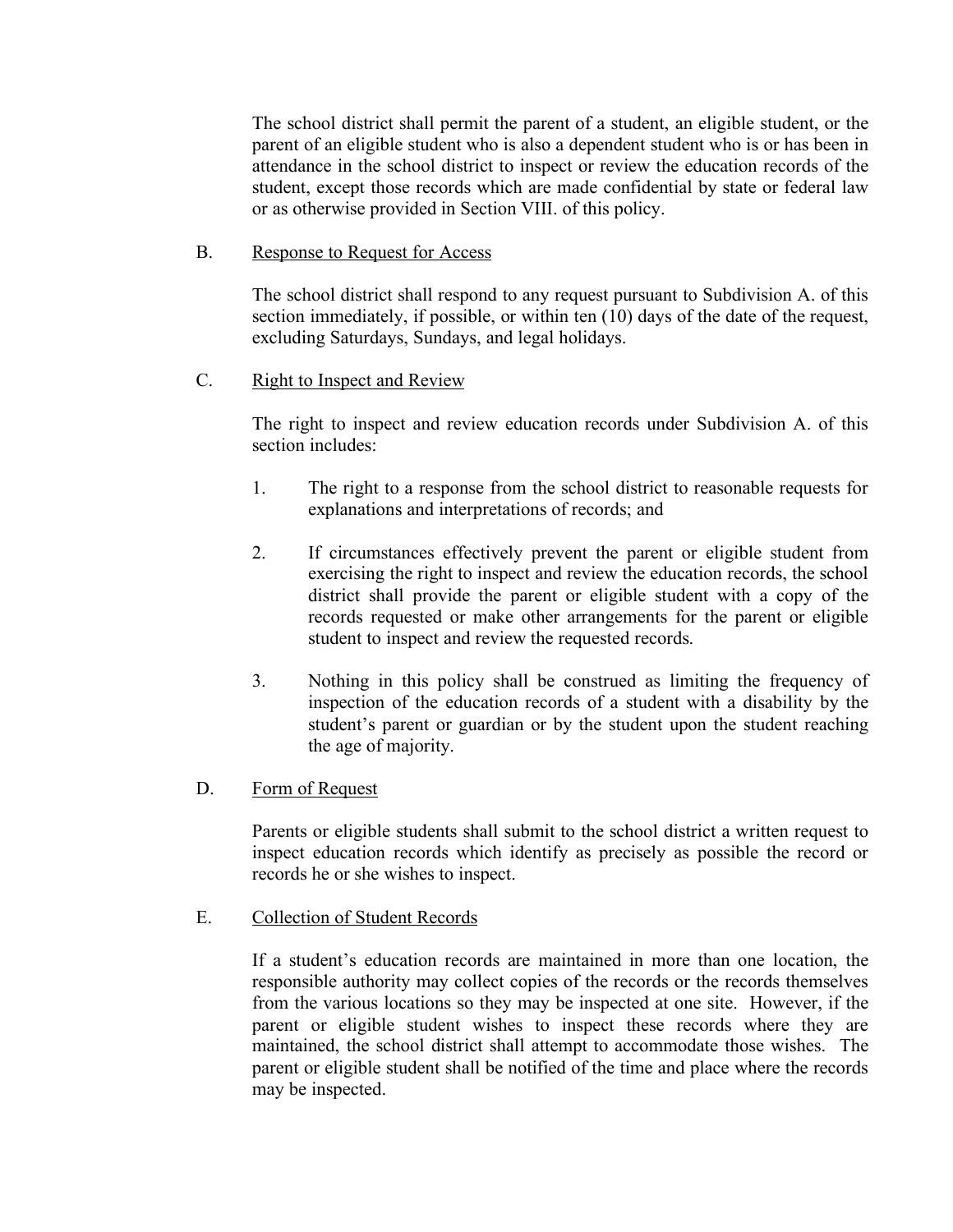The school district shall permit the parent of a student, an eligible student, or the parent of an eligible student who is also a dependent student who is or has been in attendance in the school district to inspect or review the education records of the student, except those records which are made confidential by state or federal law or as otherwise provided in Section VIII. of this policy.

## B. Response to Request for Access

The school district shall respond to any request pursuant to Subdivision A. of this section immediately, if possible, or within ten (10) days of the date of the request, excluding Saturdays, Sundays, and legal holidays.

### C. Right to Inspect and Review

The right to inspect and review education records under Subdivision A. of this section includes:

- 1. The right to a response from the school district to reasonable requests for explanations and interpretations of records; and
- 2. If circumstances effectively prevent the parent or eligible student from exercising the right to inspect and review the education records, the school district shall provide the parent or eligible student with a copy of the records requested or make other arrangements for the parent or eligible student to inspect and review the requested records.
- 3. Nothing in this policy shall be construed as limiting the frequency of inspection of the education records of a student with a disability by the student's parent or guardian or by the student upon the student reaching the age of majority.

#### D. Form of Request

Parents or eligible students shall submit to the school district a written request to inspect education records which identify as precisely as possible the record or records he or she wishes to inspect.

E. Collection of Student Records

If a student's education records are maintained in more than one location, the responsible authority may collect copies of the records or the records themselves from the various locations so they may be inspected at one site. However, if the parent or eligible student wishes to inspect these records where they are maintained, the school district shall attempt to accommodate those wishes. The parent or eligible student shall be notified of the time and place where the records may be inspected.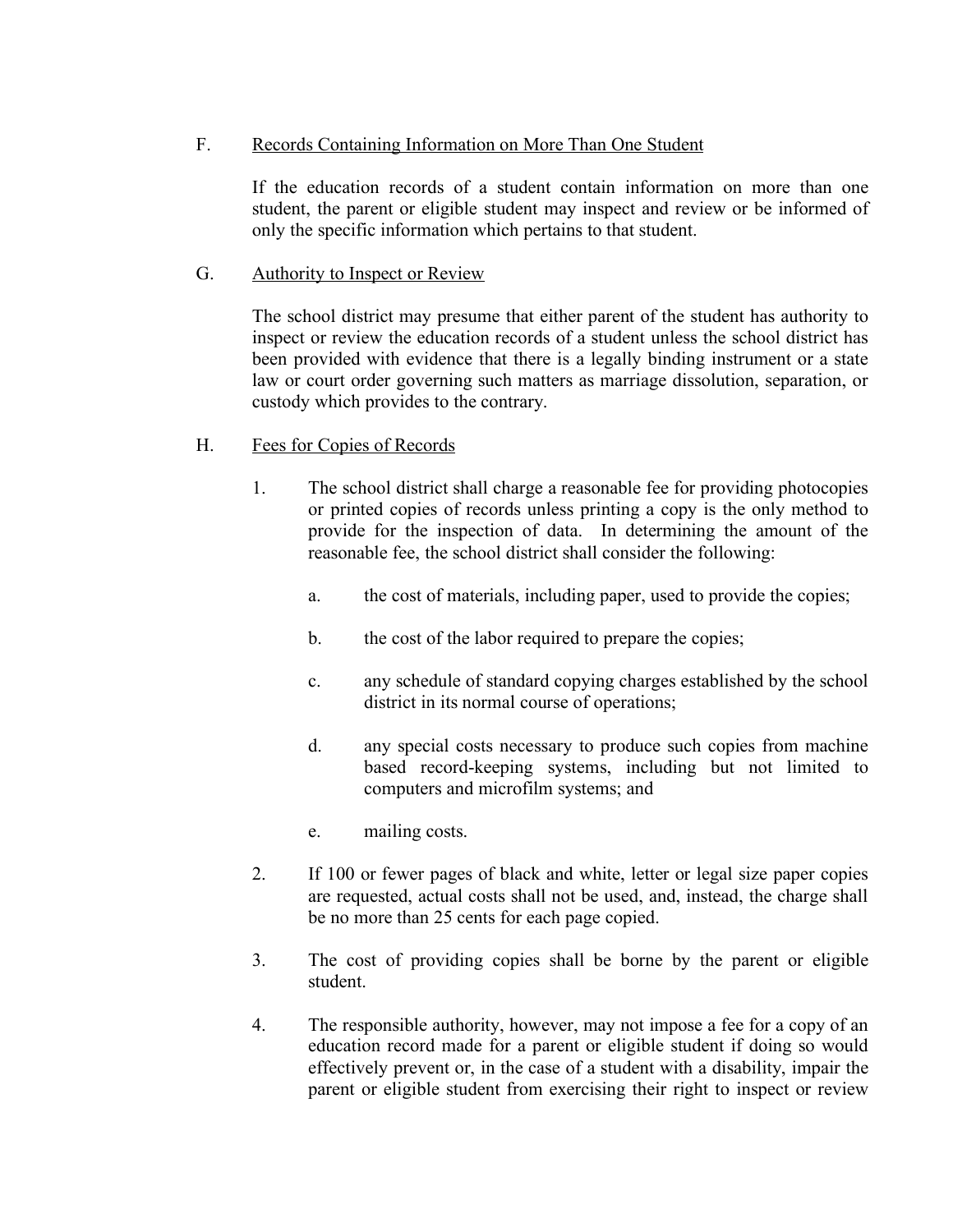## F. Records Containing Information on More Than One Student

If the education records of a student contain information on more than one student, the parent or eligible student may inspect and review or be informed of only the specific information which pertains to that student.

### G. Authority to Inspect or Review

The school district may presume that either parent of the student has authority to inspect or review the education records of a student unless the school district has been provided with evidence that there is a legally binding instrument or a state law or court order governing such matters as marriage dissolution, separation, or custody which provides to the contrary.

### H. Fees for Copies of Records

- 1. The school district shall charge a reasonable fee for providing photocopies or printed copies of records unless printing a copy is the only method to provide for the inspection of data. In determining the amount of the reasonable fee, the school district shall consider the following:
	- a. the cost of materials, including paper, used to provide the copies;
	- b. the cost of the labor required to prepare the copies;
	- c. any schedule of standard copying charges established by the school district in its normal course of operations;
	- d. any special costs necessary to produce such copies from machine based record-keeping systems, including but not limited to computers and microfilm systems; and
	- e. mailing costs.
- 2. If 100 or fewer pages of black and white, letter or legal size paper copies are requested, actual costs shall not be used, and, instead, the charge shall be no more than 25 cents for each page copied.
- 3. The cost of providing copies shall be borne by the parent or eligible student.
- 4. The responsible authority, however, may not impose a fee for a copy of an education record made for a parent or eligible student if doing so would effectively prevent or, in the case of a student with a disability, impair the parent or eligible student from exercising their right to inspect or review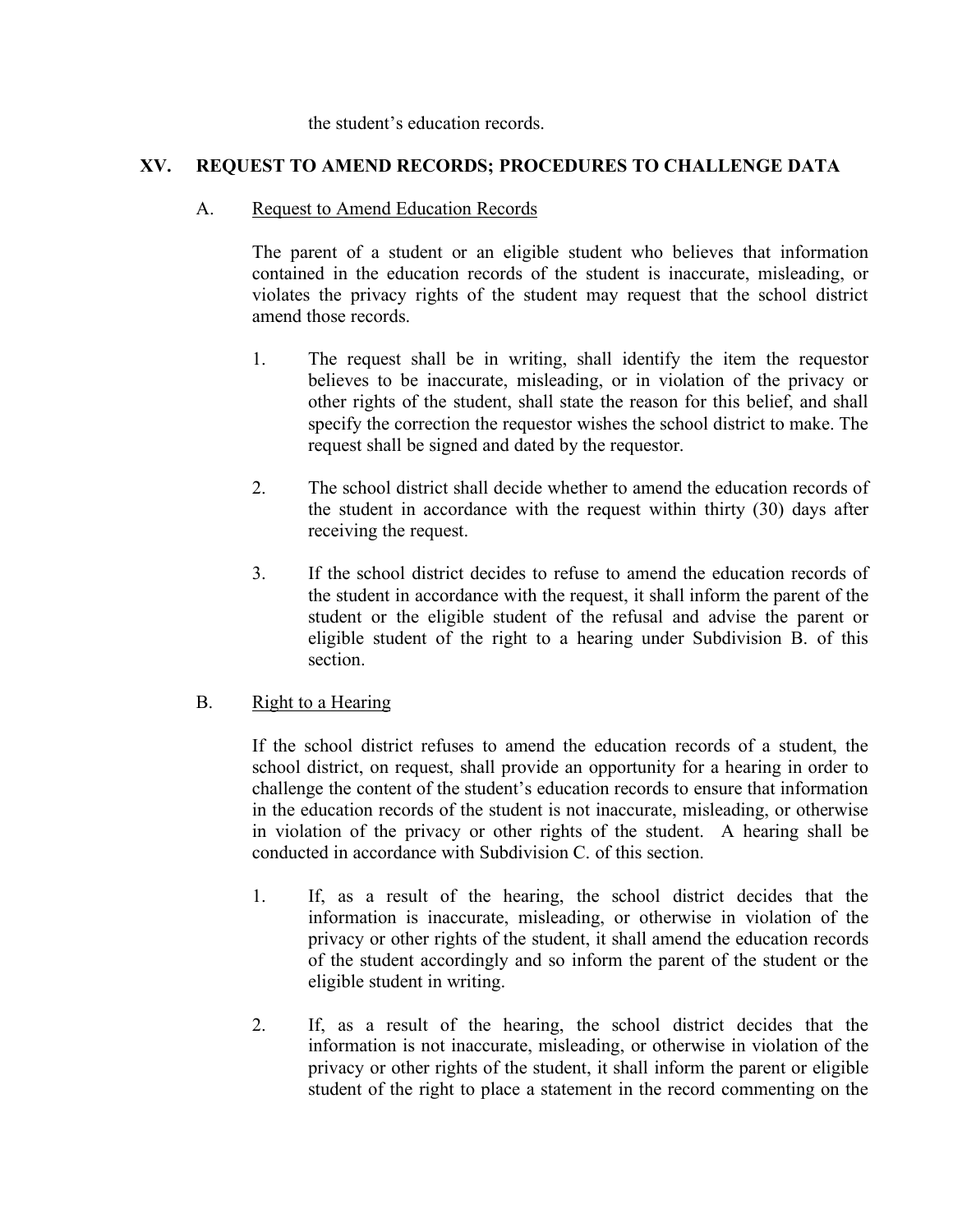#### the student's education records.

## **XV. REQUEST TO AMEND RECORDS; PROCEDURES TO CHALLENGE DATA**

#### A. Request to Amend Education Records

The parent of a student or an eligible student who believes that information contained in the education records of the student is inaccurate, misleading, or violates the privacy rights of the student may request that the school district amend those records.

- 1. The request shall be in writing, shall identify the item the requestor believes to be inaccurate, misleading, or in violation of the privacy or other rights of the student, shall state the reason for this belief, and shall specify the correction the requestor wishes the school district to make. The request shall be signed and dated by the requestor.
- 2. The school district shall decide whether to amend the education records of the student in accordance with the request within thirty (30) days after receiving the request.
- 3. If the school district decides to refuse to amend the education records of the student in accordance with the request, it shall inform the parent of the student or the eligible student of the refusal and advise the parent or eligible student of the right to a hearing under Subdivision B. of this section.

#### B. Right to a Hearing

If the school district refuses to amend the education records of a student, the school district, on request, shall provide an opportunity for a hearing in order to challenge the content of the student's education records to ensure that information in the education records of the student is not inaccurate, misleading, or otherwise in violation of the privacy or other rights of the student. A hearing shall be conducted in accordance with Subdivision C. of this section.

- 1. If, as a result of the hearing, the school district decides that the information is inaccurate, misleading, or otherwise in violation of the privacy or other rights of the student, it shall amend the education records of the student accordingly and so inform the parent of the student or the eligible student in writing.
- 2. If, as a result of the hearing, the school district decides that the information is not inaccurate, misleading, or otherwise in violation of the privacy or other rights of the student, it shall inform the parent or eligible student of the right to place a statement in the record commenting on the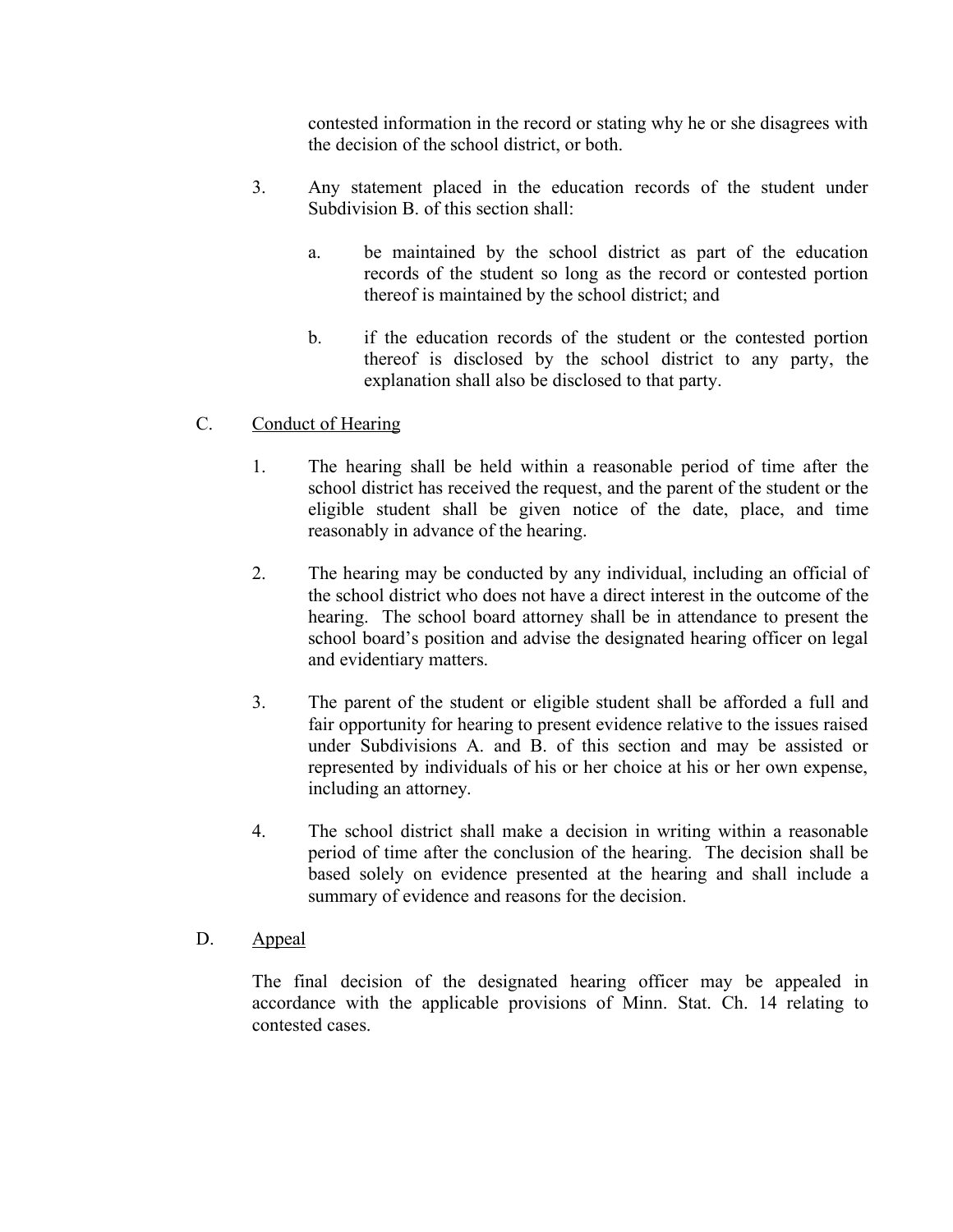contested information in the record or stating why he or she disagrees with the decision of the school district, or both.

- 3. Any statement placed in the education records of the student under Subdivision B. of this section shall:
	- a. be maintained by the school district as part of the education records of the student so long as the record or contested portion thereof is maintained by the school district; and
	- b. if the education records of the student or the contested portion thereof is disclosed by the school district to any party, the explanation shall also be disclosed to that party.

## C. Conduct of Hearing

- 1. The hearing shall be held within a reasonable period of time after the school district has received the request, and the parent of the student or the eligible student shall be given notice of the date, place, and time reasonably in advance of the hearing.
- 2. The hearing may be conducted by any individual, including an official of the school district who does not have a direct interest in the outcome of the hearing. The school board attorney shall be in attendance to present the school board's position and advise the designated hearing officer on legal and evidentiary matters.
- 3. The parent of the student or eligible student shall be afforded a full and fair opportunity for hearing to present evidence relative to the issues raised under Subdivisions A. and B. of this section and may be assisted or represented by individuals of his or her choice at his or her own expense, including an attorney.
- 4. The school district shall make a decision in writing within a reasonable period of time after the conclusion of the hearing. The decision shall be based solely on evidence presented at the hearing and shall include a summary of evidence and reasons for the decision.

## D. Appeal

The final decision of the designated hearing officer may be appealed in accordance with the applicable provisions of Minn. Stat. Ch. 14 relating to contested cases.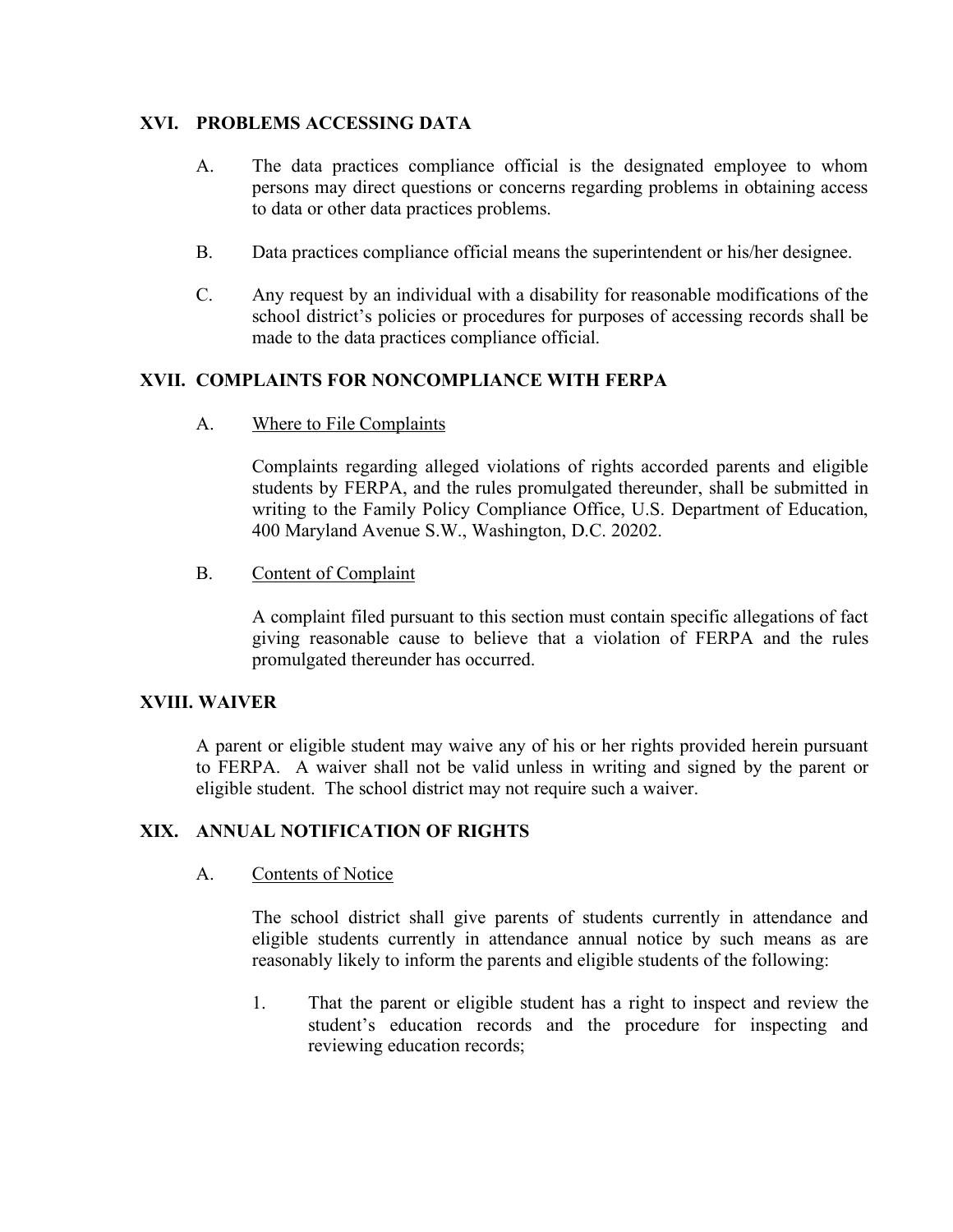## **XVI. PROBLEMS ACCESSING DATA**

- A. The data practices compliance official is the designated employee to whom persons may direct questions or concerns regarding problems in obtaining access to data or other data practices problems.
- B. Data practices compliance official means the superintendent or his/her designee.
- C. Any request by an individual with a disability for reasonable modifications of the school district's policies or procedures for purposes of accessing records shall be made to the data practices compliance official.

### **XVII. COMPLAINTS FOR NONCOMPLIANCE WITH FERPA**

A. Where to File Complaints

Complaints regarding alleged violations of rights accorded parents and eligible students by FERPA, and the rules promulgated thereunder, shall be submitted in writing to the Family Policy Compliance Office, U.S. Department of Education, 400 Maryland Avenue S.W., Washington, D.C. 20202.

B. Content of Complaint

A complaint filed pursuant to this section must contain specific allegations of fact giving reasonable cause to believe that a violation of FERPA and the rules promulgated thereunder has occurred.

#### **XVIII. WAIVER**

A parent or eligible student may waive any of his or her rights provided herein pursuant to FERPA. A waiver shall not be valid unless in writing and signed by the parent or eligible student. The school district may not require such a waiver.

#### **XIX. ANNUAL NOTIFICATION OF RIGHTS**

#### A. Contents of Notice

The school district shall give parents of students currently in attendance and eligible students currently in attendance annual notice by such means as are reasonably likely to inform the parents and eligible students of the following:

1. That the parent or eligible student has a right to inspect and review the student's education records and the procedure for inspecting and reviewing education records;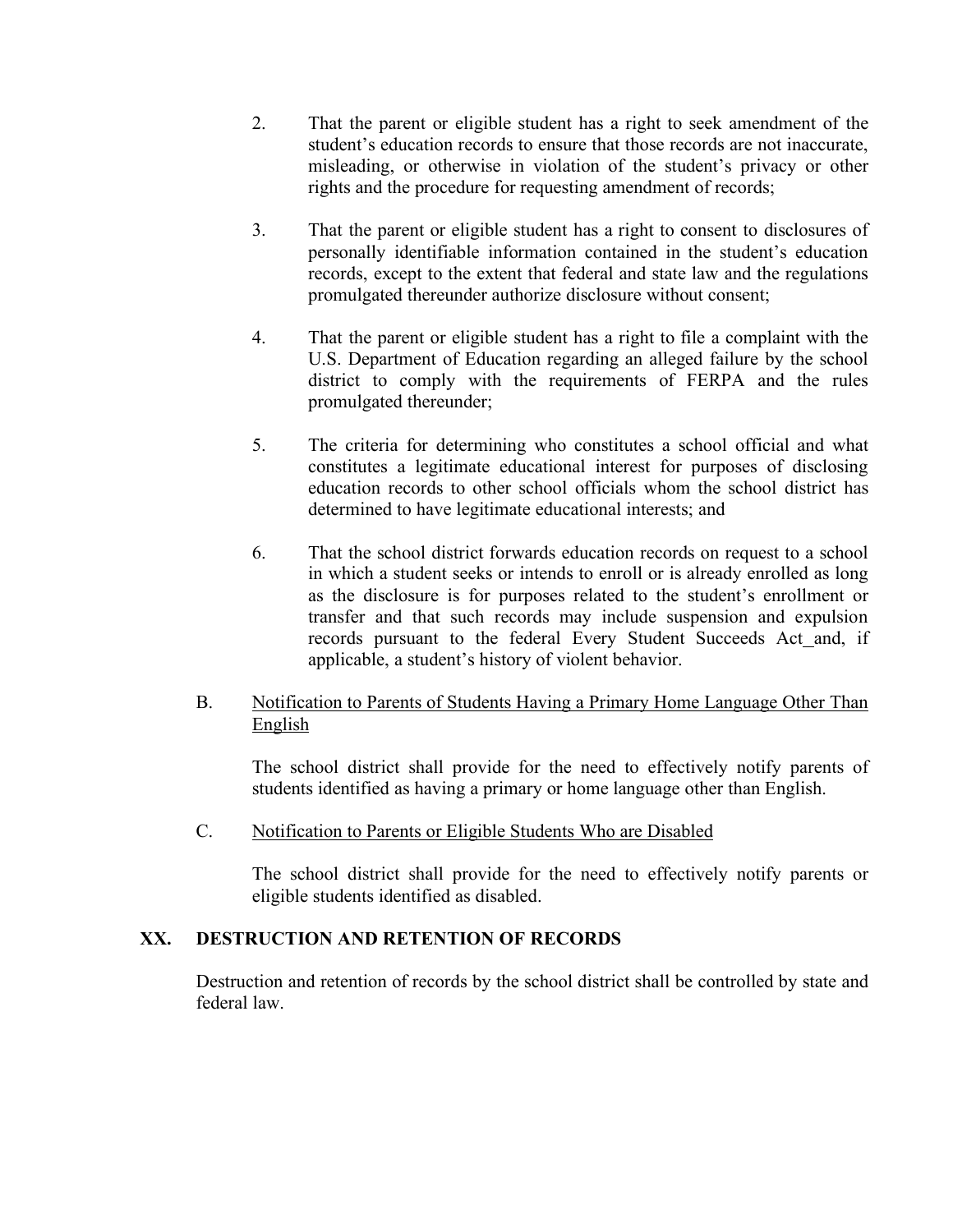- 2. That the parent or eligible student has a right to seek amendment of the student's education records to ensure that those records are not inaccurate, misleading, or otherwise in violation of the student's privacy or other rights and the procedure for requesting amendment of records;
- 3. That the parent or eligible student has a right to consent to disclosures of personally identifiable information contained in the student's education records, except to the extent that federal and state law and the regulations promulgated thereunder authorize disclosure without consent;
- 4. That the parent or eligible student has a right to file a complaint with the U.S. Department of Education regarding an alleged failure by the school district to comply with the requirements of FERPA and the rules promulgated thereunder;
- 5. The criteria for determining who constitutes a school official and what constitutes a legitimate educational interest for purposes of disclosing education records to other school officials whom the school district has determined to have legitimate educational interests; and
- 6. That the school district forwards education records on request to a school in which a student seeks or intends to enroll or is already enrolled as long as the disclosure is for purposes related to the student's enrollment or transfer and that such records may include suspension and expulsion records pursuant to the federal Every Student Succeeds Act and, if applicable, a student's history of violent behavior.
- B. Notification to Parents of Students Having a Primary Home Language Other Than English

The school district shall provide for the need to effectively notify parents of students identified as having a primary or home language other than English.

C. Notification to Parents or Eligible Students Who are Disabled

The school district shall provide for the need to effectively notify parents or eligible students identified as disabled.

## **XX. DESTRUCTION AND RETENTION OF RECORDS**

Destruction and retention of records by the school district shall be controlled by state and federal law.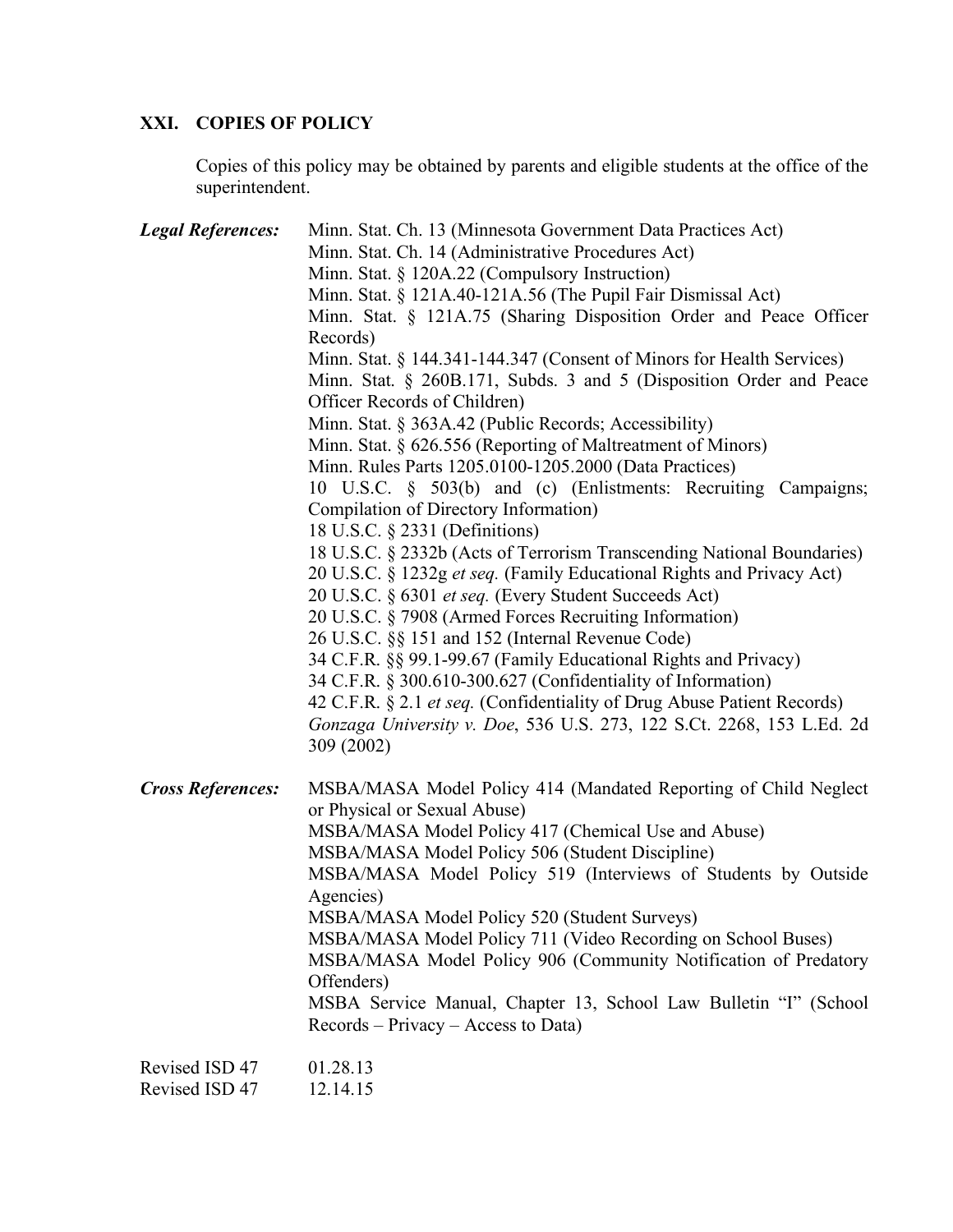# **XXI. COPIES OF POLICY**

Copies of this policy may be obtained by parents and eligible students at the office of the superintendent.

| <b>Legal References:</b>         | Minn. Stat. Ch. 13 (Minnesota Government Data Practices Act)<br>Minn. Stat. Ch. 14 (Administrative Procedures Act)<br>Minn. Stat. § 120A.22 (Compulsory Instruction)<br>Minn. Stat. § 121A.40-121A.56 (The Pupil Fair Dismissal Act)<br>Minn. Stat. § 121A.75 (Sharing Disposition Order and Peace Officer<br>Records)<br>Minn. Stat. § 144.341-144.347 (Consent of Minors for Health Services)<br>Minn. Stat. § 260B.171, Subds. 3 and 5 (Disposition Order and Peace<br>Officer Records of Children)<br>Minn. Stat. § 363A.42 (Public Records; Accessibility)<br>Minn. Stat. § 626.556 (Reporting of Maltreatment of Minors)<br>Minn. Rules Parts 1205.0100-1205.2000 (Data Practices)<br>10 U.S.C. § 503(b) and (c) (Enlistments: Recruiting Campaigns;<br>Compilation of Directory Information)<br>18 U.S.C. § 2331 (Definitions)<br>18 U.S.C. § 2332b (Acts of Terrorism Transcending National Boundaries)<br>20 U.S.C. § 1232g et seq. (Family Educational Rights and Privacy Act)<br>20 U.S.C. § 6301 et seq. (Every Student Succeeds Act)<br>20 U.S.C. § 7908 (Armed Forces Recruiting Information)<br>26 U.S.C. §§ 151 and 152 (Internal Revenue Code)<br>34 C.F.R. §§ 99.1-99.67 (Family Educational Rights and Privacy)<br>34 C.F.R. § 300.610-300.627 (Confidentiality of Information)<br>42 C.F.R. § 2.1 et seq. (Confidentiality of Drug Abuse Patient Records)<br>Gonzaga University v. Doe, 536 U.S. 273, 122 S.Ct. 2268, 153 L.Ed. 2d |
|----------------------------------|--------------------------------------------------------------------------------------------------------------------------------------------------------------------------------------------------------------------------------------------------------------------------------------------------------------------------------------------------------------------------------------------------------------------------------------------------------------------------------------------------------------------------------------------------------------------------------------------------------------------------------------------------------------------------------------------------------------------------------------------------------------------------------------------------------------------------------------------------------------------------------------------------------------------------------------------------------------------------------------------------------------------------------------------------------------------------------------------------------------------------------------------------------------------------------------------------------------------------------------------------------------------------------------------------------------------------------------------------------------------------------------------------------------------------------------------------------|
| <b>Cross References:</b>         | 309 (2002)<br>MSBA/MASA Model Policy 414 (Mandated Reporting of Child Neglect<br>or Physical or Sexual Abuse)<br>MSBA/MASA Model Policy 417 (Chemical Use and Abuse)<br>MSBA/MASA Model Policy 506 (Student Discipline)<br>MSBA/MASA Model Policy 519 (Interviews of Students by Outside<br>Agencies)<br>MSBA/MASA Model Policy 520 (Student Surveys)<br>MSBA/MASA Model Policy 711 (Video Recording on School Buses)<br>MSBA/MASA Model Policy 906 (Community Notification of Predatory<br>Offenders)<br>MSBA Service Manual, Chapter 13, School Law Bulletin "I" (School<br>Records – Privacy – Access to Data)                                                                                                                                                                                                                                                                                                                                                                                                                                                                                                                                                                                                                                                                                                                                                                                                                                      |
| Revised ISD 47<br>Revised ISD 47 | 01.28.13<br>12.14.15                                                                                                                                                                                                                                                                                                                                                                                                                                                                                                                                                                                                                                                                                                                                                                                                                                                                                                                                                                                                                                                                                                                                                                                                                                                                                                                                                                                                                                   |